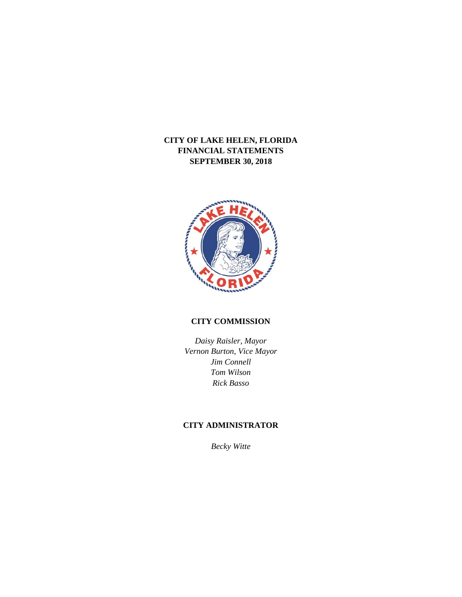

# **CITY COMMISSION**

*Daisy Raisler, Mayor Vernon Burton, Vice Mayor Jim Connell Tom Wilson Rick Basso* 

# **CITY ADMINISTRATOR**

*Becky Witte*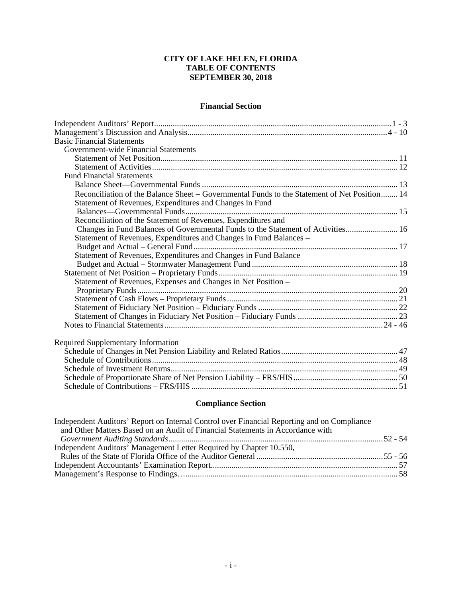# **CITY OF LAKE HELEN, FLORIDA TABLE OF CONTENTS SEPTEMBER 30, 2018**

# **Financial Section**

| <b>Basic Financial Statements</b>                                                            |  |
|----------------------------------------------------------------------------------------------|--|
| Government-wide Financial Statements                                                         |  |
|                                                                                              |  |
|                                                                                              |  |
| <b>Fund Financial Statements</b>                                                             |  |
|                                                                                              |  |
| Reconciliation of the Balance Sheet - Governmental Funds to the Statement of Net Position 14 |  |
| Statement of Revenues, Expenditures and Changes in Fund                                      |  |
|                                                                                              |  |
| Reconciliation of the Statement of Revenues, Expenditures and                                |  |
| Changes in Fund Balances of Governmental Funds to the Statement of Activities 16             |  |
| Statement of Revenues, Expenditures and Changes in Fund Balances -                           |  |
|                                                                                              |  |
| Statement of Revenues, Expenditures and Changes in Fund Balance                              |  |
|                                                                                              |  |
|                                                                                              |  |
| Statement of Revenues, Expenses and Changes in Net Position -                                |  |
|                                                                                              |  |
|                                                                                              |  |
|                                                                                              |  |
|                                                                                              |  |
|                                                                                              |  |
|                                                                                              |  |
| <b>Required Supplementary Information</b>                                                    |  |
|                                                                                              |  |
|                                                                                              |  |
|                                                                                              |  |
|                                                                                              |  |
|                                                                                              |  |

# **Compliance Section**

| Independent Auditors' Report on Internal Control over Financial Reporting and on Compliance |  |
|---------------------------------------------------------------------------------------------|--|
| and Other Matters Based on an Audit of Financial Statements in Accordance with              |  |
|                                                                                             |  |
| Independent Auditors' Management Letter Required by Chapter 10.550,                         |  |
|                                                                                             |  |
|                                                                                             |  |
|                                                                                             |  |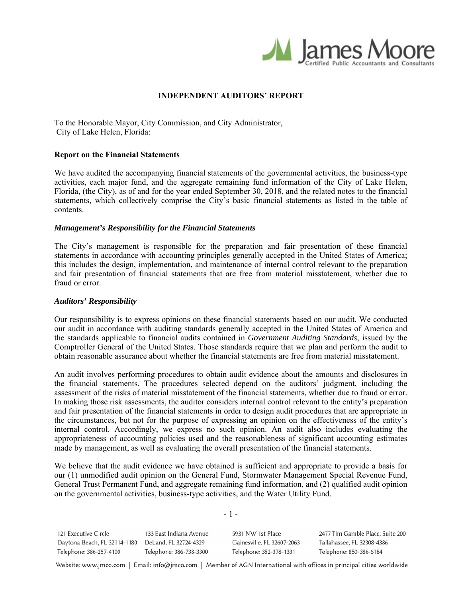

# **INDEPENDENT AUDITORS' REPORT**

To the Honorable Mayor, City Commission, and City Administrator, City of Lake Helen, Florida:

### **Report on the Financial Statements**

We have audited the accompanying financial statements of the governmental activities, the business-type activities, each major fund, and the aggregate remaining fund information of the City of Lake Helen, Florida, (the City), as of and for the year ended September 30, 2018, and the related notes to the financial statements, which collectively comprise the City's basic financial statements as listed in the table of contents.

## *Management's Responsibility for the Financial Statements*

The City's management is responsible for the preparation and fair presentation of these financial statements in accordance with accounting principles generally accepted in the United States of America; this includes the design, implementation, and maintenance of internal control relevant to the preparation and fair presentation of financial statements that are free from material misstatement, whether due to fraud or error.

#### *Auditors' Responsibility*

Our responsibility is to express opinions on these financial statements based on our audit. We conducted our audit in accordance with auditing standards generally accepted in the United States of America and the standards applicable to financial audits contained in *Government Auditing Standards*, issued by the Comptroller General of the United States. Those standards require that we plan and perform the audit to obtain reasonable assurance about whether the financial statements are free from material misstatement.

An audit involves performing procedures to obtain audit evidence about the amounts and disclosures in the financial statements. The procedures selected depend on the auditors' judgment, including the assessment of the risks of material misstatement of the financial statements, whether due to fraud or error. In making those risk assessments, the auditor considers internal control relevant to the entity's preparation and fair presentation of the financial statements in order to design audit procedures that are appropriate in the circumstances, but not for the purpose of expressing an opinion on the effectiveness of the entity's internal control. Accordingly, we express no such opinion. An audit also includes evaluating the appropriateness of accounting policies used and the reasonableness of significant accounting estimates made by management, as well as evaluating the overall presentation of the financial statements.

We believe that the audit evidence we have obtained is sufficient and appropriate to provide a basis for our (1) unmodified audit opinion on the General Fund, Stormwater Management Special Revenue Fund, General Trust Permanent Fund, and aggregate remaining fund information, and (2) qualified audit opinion on the governmental activities, business-type activities, and the Water Utility Fund.

| 121 Executive Circle         | 133 East Indiana Avenue | 5931 NW 1st Place          | 2477 Tim Gamble Place, Suite 200 |
|------------------------------|-------------------------|----------------------------|----------------------------------|
| Daytona Beach, FL 32114-1180 | DeLand, FL 32724-4329   | Gainesville, FL 32607-2063 | Tallahassee, FL 32308-4386       |
| Telephone: 386-257-4100      | Telephone: 386-738-3300 | Telephone: 352-378-1331    | Telephone: 850-386-6184          |

- 1 -

Website: www.jmco.com | Email: info@jmco.com | Member of AGN International with offices in principal cities worldwide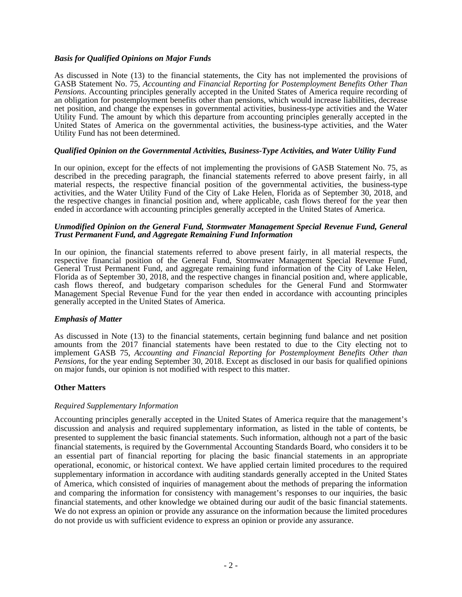## *Basis for Qualified Opinions on Major Funds*

As discussed in Note (13) to the financial statements, the City has not implemented the provisions of GASB Statement No. 75, *Accounting and Financial Reporting for Postemployment Benefits Other Than Pensions*. Accounting principles generally accepted in the United States of America require recording of an obligation for postemployment benefits other than pensions, which would increase liabilities, decrease net position, and change the expenses in governmental activities, business-type activities and the Water Utility Fund. The amount by which this departure from accounting principles generally accepted in the United States of America on the governmental activities, the business-type activities, and the Water Utility Fund has not been determined.

## *Qualified Opinion on the Governmental Activities, Business-Type Activities, and Water Utility Fund*

In our opinion, except for the effects of not implementing the provisions of GASB Statement No. 75, as described in the preceding paragraph, the financial statements referred to above present fairly, in all material respects, the respective financial position of the governmental activities, the business-type activities, and the Water Utility Fund of the City of Lake Helen, Florida as of September 30, 2018, and the respective changes in financial position and, where applicable, cash flows thereof for the year then ended in accordance with accounting principles generally accepted in the United States of America.

#### *Unmodified Opinion on the General Fund, Stormwater Management Special Revenue Fund, General Trust Permanent Fund, and Aggregate Remaining Fund Information*

In our opinion, the financial statements referred to above present fairly, in all material respects, the respective financial position of the General Fund, Stormwater Management Special Revenue Fund, General Trust Permanent Fund, and aggregate remaining fund information of the City of Lake Helen, Florida as of September 30, 2018, and the respective changes in financial position and, where applicable, cash flows thereof, and budgetary comparison schedules for the General Fund and Stormwater Management Special Revenue Fund for the year then ended in accordance with accounting principles generally accepted in the United States of America.

### *Emphasis of Matter*

As discussed in Note (13) to the financial statements, certain beginning fund balance and net position amounts from the 2017 financial statements have been restated to due to the City electing not to implement GASB 75, *Accounting and Financial Reporting for Postemployment Benefits Other than Pensions*, for the year ending September 30, 2018. Except as disclosed in our basis for qualified opinions on major funds, our opinion is not modified with respect to this matter.

### **Other Matters**

### *Required Supplementary Information*

Accounting principles generally accepted in the United States of America require that the management's discussion and analysis and required supplementary information, as listed in the table of contents, be presented to supplement the basic financial statements. Such information, although not a part of the basic financial statements, is required by the Governmental Accounting Standards Board, who considers it to be an essential part of financial reporting for placing the basic financial statements in an appropriate operational, economic, or historical context. We have applied certain limited procedures to the required supplementary information in accordance with auditing standards generally accepted in the United States of America, which consisted of inquiries of management about the methods of preparing the information and comparing the information for consistency with management's responses to our inquiries, the basic financial statements, and other knowledge we obtained during our audit of the basic financial statements. We do not express an opinion or provide any assurance on the information because the limited procedures do not provide us with sufficient evidence to express an opinion or provide any assurance.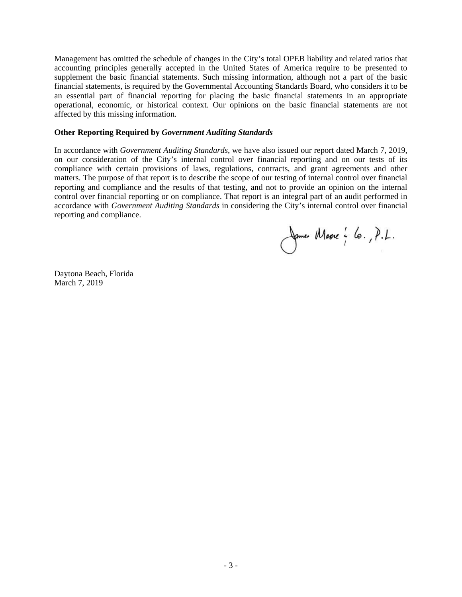Management has omitted the schedule of changes in the City's total OPEB liability and related ratios that accounting principles generally accepted in the United States of America require to be presented to supplement the basic financial statements. Such missing information, although not a part of the basic financial statements, is required by the Governmental Accounting Standards Board, who considers it to be an essential part of financial reporting for placing the basic financial statements in an appropriate operational, economic, or historical context. Our opinions on the basic financial statements are not affected by this missing information.

# **Other Reporting Required by** *Government Auditing Standards*

In accordance with *Government Auditing Standards*, we have also issued our report dated March 7, 2019, on our consideration of the City's internal control over financial reporting and on our tests of its compliance with certain provisions of laws, regulations, contracts, and grant agreements and other matters. The purpose of that report is to describe the scope of our testing of internal control over financial reporting and compliance and the results of that testing, and not to provide an opinion on the internal control over financial reporting or on compliance. That report is an integral part of an audit performed in accordance with *Government Auditing Standards* in considering the City's internal control over financial reporting and compliance.

James Masse : lo., P.L.

Daytona Beach, Florida March 7, 2019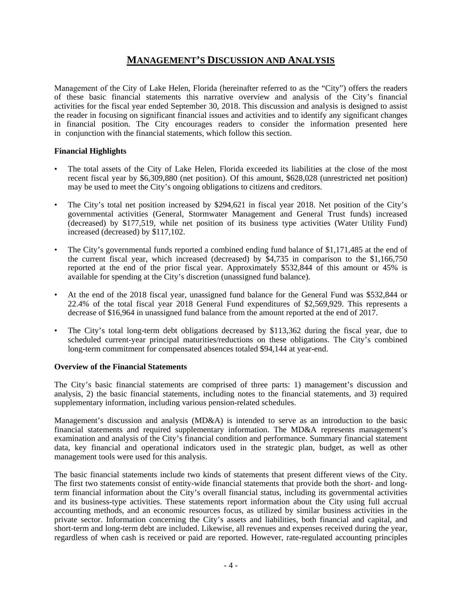# **MANAGEMENT'S DISCUSSION AND ANALYSIS**

Management of the City of Lake Helen, Florida (hereinafter referred to as the "City") offers the readers of these basic financial statements this narrative overview and analysis of the City's financial activities for the fiscal year ended September 30, 2018. This discussion and analysis is designed to assist the reader in focusing on significant financial issues and activities and to identify any significant changes in financial position. The City encourages readers to consider the information presented here in conjunction with the financial statements, which follow this section.

# **Financial Highlights**

- The total assets of the City of Lake Helen, Florida exceeded its liabilities at the close of the most recent fiscal year by \$6,309,880 (net position). Of this amount, \$628,028 (unrestricted net position) may be used to meet the City's ongoing obligations to citizens and creditors.
- The City's total net position increased by \$294,621 in fiscal year 2018. Net position of the City's governmental activities (General, Stormwater Management and General Trust funds) increased (decreased) by \$177,519, while net position of its business type activities (Water Utility Fund) increased (decreased) by \$117,102.
- The City's governmental funds reported a combined ending fund balance of \$1,171,485 at the end of the current fiscal year, which increased (decreased) by \$4,735 in comparison to the \$1,166,750 reported at the end of the prior fiscal year. Approximately \$532,844 of this amount or 45% is available for spending at the City's discretion (unassigned fund balance).
- At the end of the 2018 fiscal year, unassigned fund balance for the General Fund was \$532,844 or 22.4% of the total fiscal year 2018 General Fund expenditures of \$2,569,929. This represents a decrease of \$16,964 in unassigned fund balance from the amount reported at the end of 2017.
- The City's total long-term debt obligations decreased by \$113,362 during the fiscal year, due to scheduled current-year principal maturities/reductions on these obligations. The City's combined long-term commitment for compensated absences totaled \$94,144 at year-end.

# **Overview of the Financial Statements**

The City's basic financial statements are comprised of three parts: 1) management's discussion and analysis, 2) the basic financial statements, including notes to the financial statements, and 3) required supplementary information, including various pension-related schedules.

Management's discussion and analysis (MD&A) is intended to serve as an introduction to the basic financial statements and required supplementary information. The MD&A represents management's examination and analysis of the City's financial condition and performance. Summary financial statement data, key financial and operational indicators used in the strategic plan, budget, as well as other management tools were used for this analysis.

The basic financial statements include two kinds of statements that present different views of the City. The first two statements consist of entity-wide financial statements that provide both the short- and longterm financial information about the City's overall financial status, including its governmental activities and its business-type activities. These statements report information about the City using full accrual accounting methods, and an economic resources focus, as utilized by similar business activities in the private sector. Information concerning the City's assets and liabilities, both financial and capital, and short-term and long-term debt are included. Likewise, all revenues and expenses received during the year, regardless of when cash is received or paid are reported. However, rate-regulated accounting principles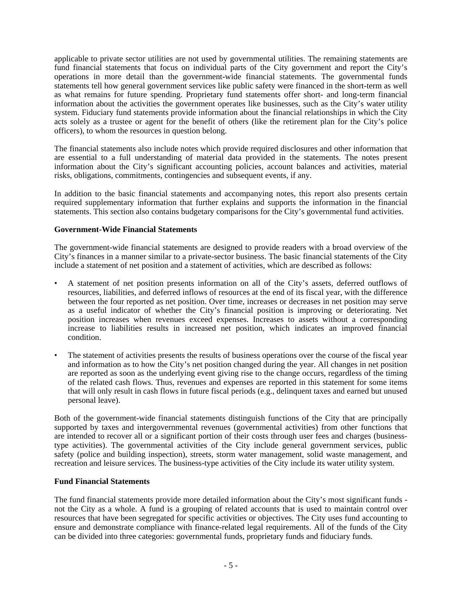applicable to private sector utilities are not used by governmental utilities. The remaining statements are fund financial statements that focus on individual parts of the City government and report the City's operations in more detail than the government-wide financial statements. The governmental funds statements tell how general government services like public safety were financed in the short-term as well as what remains for future spending. Proprietary fund statements offer short- and long-term financial information about the activities the government operates like businesses, such as the City's water utility system. Fiduciary fund statements provide information about the financial relationships in which the City acts solely as a trustee or agent for the benefit of others (like the retirement plan for the City's police officers), to whom the resources in question belong.

The financial statements also include notes which provide required disclosures and other information that are essential to a full understanding of material data provided in the statements. The notes present information about the City's significant accounting policies, account balances and activities, material risks, obligations, commitments, contingencies and subsequent events, if any.

In addition to the basic financial statements and accompanying notes, this report also presents certain required supplementary information that further explains and supports the information in the financial statements. This section also contains budgetary comparisons for the City's governmental fund activities.

# **Government-Wide Financial Statements**

The government-wide financial statements are designed to provide readers with a broad overview of the City's finances in a manner similar to a private-sector business. The basic financial statements of the City include a statement of net position and a statement of activities, which are described as follows:

- A statement of net position presents information on all of the City's assets, deferred outflows of resources, liabilities, and deferred inflows of resources at the end of its fiscal year, with the difference between the four reported as net position. Over time, increases or decreases in net position may serve as a useful indicator of whether the City's financial position is improving or deteriorating. Net position increases when revenues exceed expenses. Increases to assets without a corresponding increase to liabilities results in increased net position, which indicates an improved financial condition.
- The statement of activities presents the results of business operations over the course of the fiscal year and information as to how the City's net position changed during the year. All changes in net position are reported as soon as the underlying event giving rise to the change occurs, regardless of the timing of the related cash flows. Thus, revenues and expenses are reported in this statement for some items that will only result in cash flows in future fiscal periods (e.g., delinquent taxes and earned but unused personal leave).

Both of the government-wide financial statements distinguish functions of the City that are principally supported by taxes and intergovernmental revenues (governmental activities) from other functions that are intended to recover all or a significant portion of their costs through user fees and charges (businesstype activities). The governmental activities of the City include general government services, public safety (police and building inspection), streets, storm water management, solid waste management, and recreation and leisure services. The business-type activities of the City include its water utility system.

# **Fund Financial Statements**

The fund financial statements provide more detailed information about the City's most significant funds not the City as a whole. A fund is a grouping of related accounts that is used to maintain control over resources that have been segregated for specific activities or objectives. The City uses fund accounting to ensure and demonstrate compliance with finance-related legal requirements. All of the funds of the City can be divided into three categories: governmental funds, proprietary funds and fiduciary funds.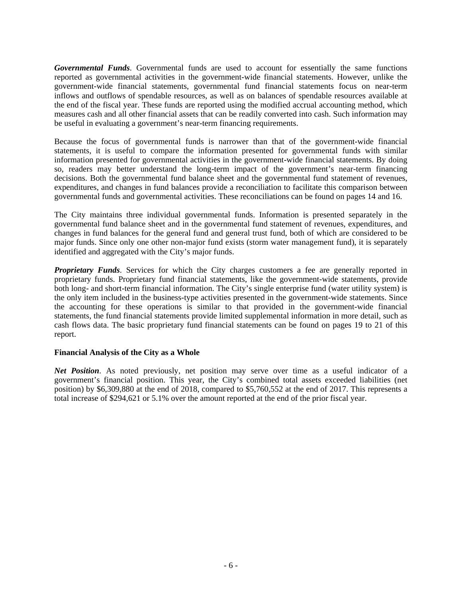*Governmental Funds*. Governmental funds are used to account for essentially the same functions reported as governmental activities in the government-wide financial statements. However, unlike the government-wide financial statements, governmental fund financial statements focus on near-term inflows and outflows of spendable resources, as well as on balances of spendable resources available at the end of the fiscal year. These funds are reported using the modified accrual accounting method, which measures cash and all other financial assets that can be readily converted into cash. Such information may be useful in evaluating a government's near-term financing requirements.

Because the focus of governmental funds is narrower than that of the government-wide financial statements, it is useful to compare the information presented for governmental funds with similar information presented for governmental activities in the government-wide financial statements. By doing so, readers may better understand the long-term impact of the government's near-term financing decisions. Both the governmental fund balance sheet and the governmental fund statement of revenues, expenditures, and changes in fund balances provide a reconciliation to facilitate this comparison between governmental funds and governmental activities. These reconciliations can be found on pages 14 and 16.

The City maintains three individual governmental funds. Information is presented separately in the governmental fund balance sheet and in the governmental fund statement of revenues, expenditures, and changes in fund balances for the general fund and general trust fund, both of which are considered to be major funds. Since only one other non-major fund exists (storm water management fund), it is separately identified and aggregated with the City's major funds.

**Proprietary Funds**. Services for which the City charges customers a fee are generally reported in proprietary funds. Proprietary fund financial statements, like the government-wide statements, provide both long- and short-term financial information. The City's single enterprise fund (water utility system) is the only item included in the business-type activities presented in the government-wide statements. Since the accounting for these operations is similar to that provided in the government-wide financial statements, the fund financial statements provide limited supplemental information in more detail, such as cash flows data. The basic proprietary fund financial statements can be found on pages 19 to 21 of this report.

# **Financial Analysis of the City as a Whole**

*Net Position*. As noted previously, net position may serve over time as a useful indicator of a government's financial position. This year, the City's combined total assets exceeded liabilities (net position) by \$6,309,880 at the end of 2018, compared to \$5,760,552 at the end of 2017. This represents a total increase of \$294,621 or 5.1% over the amount reported at the end of the prior fiscal year.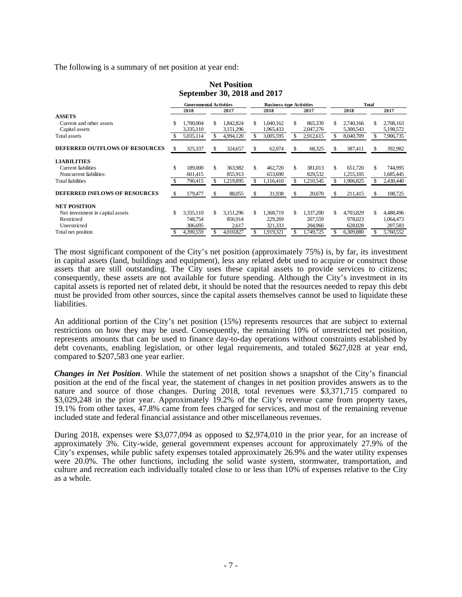The following is a summary of net position at year end:

**Net Position September 30, 2018 and 2017** 

|                                       | <b>Governmental Activities</b> |           |     | <b>Business-type Activities</b> |    |           |     |           | <b>Total</b> |           |    |           |
|---------------------------------------|--------------------------------|-----------|-----|---------------------------------|----|-----------|-----|-----------|--------------|-----------|----|-----------|
|                                       |                                | 2018      |     | 2017                            |    | 2018      |     | 2017      |              | 2018      |    | 2017      |
| <b>ASSETS</b>                         |                                |           |     |                                 |    |           |     |           |              |           |    |           |
| Current and other assets              | \$.                            | 1.700.004 | \$  | 1,842,824                       | S. | 1.040.162 | S.  | 865,339   | \$           | 2,740,166 | S. | 2,708,163 |
| Capital assets                        |                                | 3,335,110 |     | 3,151,296                       |    | 1,965,433 |     | 2,047,276 |              | 5,300,543 |    | 5,198,572 |
| Total assets                          |                                | 5,035,114 |     | 4,994,120                       | S  | 3,005,595 |     | 2,912,615 | S            | 8,040,709 |    | 7,906,735 |
| <b>DEFERRED OUTFLOWS OF RESOURCES</b> | £.                             | 325,337   | \$  | 324,657                         | \$ | 62,074    | Эħ. | 68,325    | \$.          | 387,411   |    | 392,982   |
| <b>LIABILITIES</b>                    |                                |           |     |                                 |    |           |     |           |              |           |    |           |
| Current liabilities                   | \$                             | 189,000   | \$  | 363.982                         | \$ | 462,720   | \$  | 381.013   | \$           | 651.720   | \$ | 744,995   |
| Noncurrent liabilities:               |                                | 601,415   |     | 855,913                         |    | 653,690   |     | 829,532   |              | 1,255,105 |    | 1,685,445 |
| Total liabilities                     |                                | 790,415   |     | 1,219,895                       |    | 1,116,410 |     | 1,210,545 |              | 1,906,825 |    | 2,430,440 |
| <b>DEFERRED INFLOWS OF RESOURCES</b>  |                                | 179,477   | \$. | 88,055                          | \$ | 31,938    | S   | 20,670    | S            | 211,415   | S. | 108,725   |
| <b>NET POSITION</b>                   |                                |           |     |                                 |    |           |     |           |              |           |    |           |
| Net investment in capital assets      | \$.                            | 3,335,110 | \$  | 3,151,296                       | \$ | 1,368,719 | S.  | 1,337,200 | \$           | 4,703,829 | \$ | 4,488,496 |
| Restricted                            |                                | 748,754   |     | 856.914                         |    | 229,269   |     | 207,559   |              | 978,023   |    | 1,064,473 |
| Unrestricted                          |                                | 306,695   |     | 2,617                           |    | 321,333   |     | 204,966   |              | 628,028   |    | 207,583   |
| Total net position                    |                                | 4.390.559 |     | 4.010.827                       |    | 1.919.321 |     | 1.749.725 |              | 6,309,880 |    | 5,760,552 |

The most significant component of the City's net position (approximately 75%) is, by far, its investment in capital assets (land, buildings and equipment), less any related debt used to acquire or construct those assets that are still outstanding. The City uses these capital assets to provide services to citizens; consequently, these assets are not available for future spending. Although the City's investment in its capital assets is reported net of related debt, it should be noted that the resources needed to repay this debt must be provided from other sources, since the capital assets themselves cannot be used to liquidate these liabilities.

An additional portion of the City's net position (15%) represents resources that are subject to external restrictions on how they may be used. Consequently, the remaining 10% of unrestricted net position, represents amounts that can be used to finance day-to-day operations without constraints established by debt covenants, enabling legislation, or other legal requirements, and totaled \$627,028 at year end, compared to \$207,583 one year earlier.

*Changes in Net Position*. While the statement of net position shows a snapshot of the City's financial position at the end of the fiscal year, the statement of changes in net position provides answers as to the nature and source of those changes. During 2018, total revenues were \$3,371,715 compared to \$3,029,248 in the prior year. Approximately 19.2% of the City's revenue came from property taxes, 19.1% from other taxes, 47.8% came from fees charged for services, and most of the remaining revenue included state and federal financial assistance and other miscellaneous revenues.

During 2018, expenses were \$3,077,094 as opposed to \$2,974,010 in the prior year, for an increase of approximately 3%. City-wide, general government expenses account for approximately 27.9% of the City's expenses, while public safety expenses totaled approximately 26.9% and the water utility expenses were 20.0%. The other functions, including the solid waste system, stormwater, transportation, and culture and recreation each individually totaled close to or less than 10% of expenses relative to the City as a whole.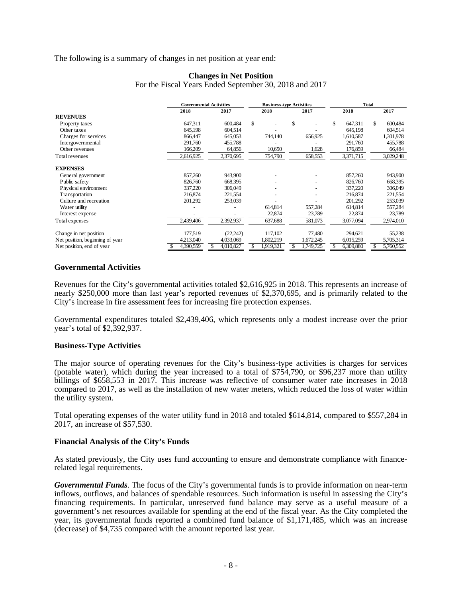## The following is a summary of changes in net position at year end:

|                                 |           | <b>Governmental Activities</b> |           | <b>Business-type Activities</b> | <b>Total</b>   |               |  |  |
|---------------------------------|-----------|--------------------------------|-----------|---------------------------------|----------------|---------------|--|--|
|                                 | 2018      | 2017                           | 2018      | 2017                            | 2018           | 2017          |  |  |
| <b>REVENUES</b>                 |           |                                |           |                                 |                |               |  |  |
| Property taxes                  | 647,311   | 600,484                        | \$        | \$                              | 647,311<br>\$  | 600,484<br>\$ |  |  |
| Other taxes                     | 645,198   | 604.514                        |           |                                 | 645,198        | 604,514       |  |  |
| Charges for services            | 866,447   | 645,053                        | 744,140   | 656,925                         | 1,610,587      | 1,301,978     |  |  |
| Intergovernmental               | 291,760   | 455,788                        |           |                                 | 291,760        | 455,788       |  |  |
| Other revenues                  | 166,209   | 64,856                         | 10,650    | 1,628                           | 176,859        | 66,484        |  |  |
| Total revenues                  | 2,616,925 | 2,370,695                      | 754,790   | 658,553                         | 3,371,715      | 3,029,248     |  |  |
| <b>EXPENSES</b>                 |           |                                |           |                                 |                |               |  |  |
| General government              | 857,260   | 943,900                        |           |                                 | 857,260        | 943,900       |  |  |
| Public safety                   | 826,760   | 668,395                        |           |                                 | 826,760        | 668,395       |  |  |
| Physical environment            | 337,220   | 306,049                        |           | ٠                               | 337,220        | 306,049       |  |  |
| Transportation                  | 216,874   | 221,554                        |           |                                 | 216,874        | 221,554       |  |  |
| Culture and recreation          | 201,292   | 253,039                        |           |                                 | 201,292        | 253,039       |  |  |
| Water utility                   |           |                                | 614,814   | 557,284                         | 614,814        | 557,284       |  |  |
| Interest expense                |           |                                | 22,874    | 23,789                          | 22,874         | 23,789        |  |  |
| Total expenses                  | 2,439,406 | 2,392,937                      | 637,688   | 581,073                         | 3,077,094      | 2,974,010     |  |  |
| Change in net position          | 177,519   | (22, 242)                      | 117,102   | 77,480                          | 294,621        | 55,238        |  |  |
| Net position, beginning of year | 4,213,040 | 4,033,069                      | 1,802,219 | 1,672,245                       | 6,015,259      | 5,705,314     |  |  |
| Net position, end of year       | 4,390,559 | 4,010,827<br>S                 | 1,919,321 | 1,749,725<br>\$.                | 6,309,880<br>S | 5,760,552     |  |  |

# **Changes in Net Position**

For the Fiscal Years Ended September 30, 2018 and 2017

# **Governmental Activities**

Revenues for the City's governmental activities totaled \$2,616,925 in 2018. This represents an increase of nearly \$250,000 more than last year's reported revenues of \$2,370,695, and is primarily related to the City's increase in fire assessment fees for increasing fire protection expenses.

Governmental expenditures totaled \$2,439,406, which represents only a modest increase over the prior year's total of \$2,392,937.

### **Business-Type Activities**

The major source of operating revenues for the City's business-type activities is charges for services (potable water), which during the year increased to a total of \$754,790, or \$96,237 more than utility billings of \$658,553 in 2017. This increase was reflective of consumer water rate increases in 2018 compared to 2017, as well as the installation of new water meters, which reduced the loss of water within the utility system.

Total operating expenses of the water utility fund in 2018 and totaled \$614,814, compared to \$557,284 in 2017, an increase of \$57,530.

### **Financial Analysis of the City's Funds**

As stated previously, the City uses fund accounting to ensure and demonstrate compliance with financerelated legal requirements.

*Governmental Funds*. The focus of the City's governmental funds is to provide information on near-term inflows, outflows, and balances of spendable resources. Such information is useful in assessing the City's financing requirements. In particular, unreserved fund balance may serve as a useful measure of a government's net resources available for spending at the end of the fiscal year. As the City completed the year, its governmental funds reported a combined fund balance of \$1,171,485, which was an increase (decrease) of \$4,735 compared with the amount reported last year.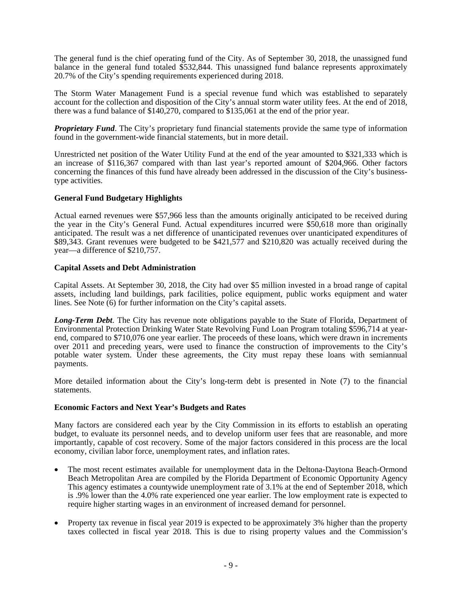The general fund is the chief operating fund of the City. As of September 30, 2018, the unassigned fund balance in the general fund totaled \$532,844. This unassigned fund balance represents approximately 20.7% of the City's spending requirements experienced during 2018.

The Storm Water Management Fund is a special revenue fund which was established to separately account for the collection and disposition of the City's annual storm water utility fees. At the end of 2018, there was a fund balance of \$140,270, compared to \$135,061 at the end of the prior year.

*Proprietary Fund*. The City's proprietary fund financial statements provide the same type of information found in the government-wide financial statements, but in more detail.

Unrestricted net position of the Water Utility Fund at the end of the year amounted to \$321,333 which is an increase of \$116,367 compared with than last year's reported amount of \$204,966. Other factors concerning the finances of this fund have already been addressed in the discussion of the City's businesstype activities.

## **General Fund Budgetary Highlights**

Actual earned revenues were \$57,966 less than the amounts originally anticipated to be received during the year in the City's General Fund. Actual expenditures incurred were \$50,618 more than originally anticipated. The result was a net difference of unanticipated revenues over unanticipated expenditures of \$89,343. Grant revenues were budgeted to be \$421,577 and \$210,820 was actually received during the year—a difference of \$210,757.

## **Capital Assets and Debt Administration**

Capital Assets. At September 30, 2018, the City had over \$5 million invested in a broad range of capital assets, including land buildings, park facilities, police equipment, public works equipment and water lines. See Note (6) for further information on the City's capital assets.

*Long-Term Debt*. The City has revenue note obligations payable to the State of Florida, Department of Environmental Protection Drinking Water State Revolving Fund Loan Program totaling \$596,714 at yearend, compared to \$710,076 one year earlier. The proceeds of these loans, which were drawn in increments over 2011 and preceding years, were used to finance the construction of improvements to the City's potable water system. Under these agreements, the City must repay these loans with semiannual payments.

More detailed information about the City's long-term debt is presented in Note (7) to the financial statements.

### **Economic Factors and Next Year's Budgets and Rates**

Many factors are considered each year by the City Commission in its efforts to establish an operating budget, to evaluate its personnel needs, and to develop uniform user fees that are reasonable, and more importantly, capable of cost recovery. Some of the major factors considered in this process are the local economy, civilian labor force, unemployment rates, and inflation rates.

- The most recent estimates available for unemployment data in the Deltona-Daytona Beach-Ormond Beach Metropolitan Area are compiled by the Florida Department of Economic Opportunity Agency This agency estimates a countywide unemployment rate of 3.1% at the end of September 2018, which is .9% lower than the 4.0% rate experienced one year earlier. The low employment rate is expected to require higher starting wages in an environment of increased demand for personnel.
- Property tax revenue in fiscal year 2019 is expected to be approximately 3% higher than the property taxes collected in fiscal year 2018. This is due to rising property values and the Commission's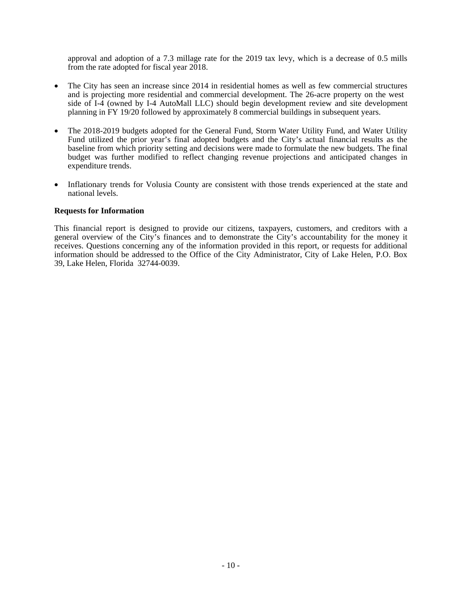approval and adoption of a 7.3 millage rate for the 2019 tax levy, which is a decrease of 0.5 mills from the rate adopted for fiscal year 2018.

- The City has seen an increase since 2014 in residential homes as well as few commercial structures and is projecting more residential and commercial development. The 26-acre property on the west side of I-4 (owned by I-4 AutoMall LLC) should begin development review and site development planning in FY 19/20 followed by approximately 8 commercial buildings in subsequent years.
- The 2018-2019 budgets adopted for the General Fund, Storm Water Utility Fund, and Water Utility Fund utilized the prior year's final adopted budgets and the City's actual financial results as the baseline from which priority setting and decisions were made to formulate the new budgets. The final budget was further modified to reflect changing revenue projections and anticipated changes in expenditure trends.
- Inflationary trends for Volusia County are consistent with those trends experienced at the state and national levels.

# **Requests for Information**

This financial report is designed to provide our citizens, taxpayers, customers, and creditors with a general overview of the City's finances and to demonstrate the City's accountability for the money it receives. Questions concerning any of the information provided in this report, or requests for additional information should be addressed to the Office of the City Administrator, City of Lake Helen, P.O. Box 39, Lake Helen, Florida 32744-0039.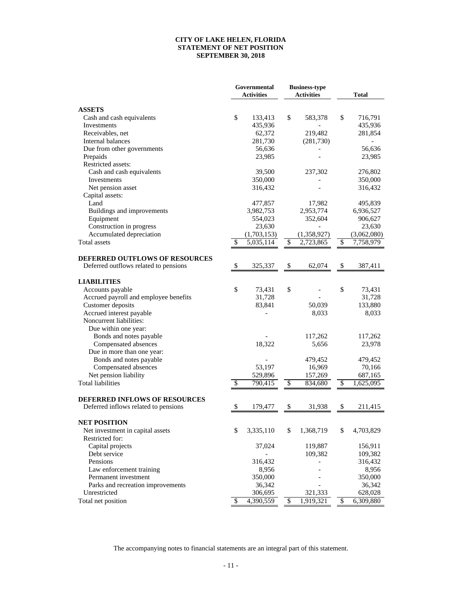#### **CITY OF LAKE HELEN, FLORIDA STATEMENT OF NET POSITION SEPTEMBER 30, 2018**

|                                       | Governmental<br><b>Activities</b> |                        | <b>Business-type</b><br><b>Activities</b> |                          | Total       |
|---------------------------------------|-----------------------------------|------------------------|-------------------------------------------|--------------------------|-------------|
| <b>ASSETS</b>                         |                                   |                        |                                           |                          |             |
| Cash and cash equivalents             | \$                                | 133,413                | \$<br>583,378                             | \$                       | 716,791     |
| Investments                           |                                   | 435,936                |                                           |                          | 435,936     |
| Receivables, net                      |                                   | 62,372                 | 219,482                                   |                          | 281,854     |
| Internal balances                     |                                   | 281,730                | (281, 730)                                |                          |             |
| Due from other governments            |                                   | 56,636                 |                                           |                          | 56,636      |
| Prepaids                              |                                   | 23,985                 |                                           |                          | 23,985      |
| Restricted assets:                    |                                   |                        |                                           |                          |             |
| Cash and cash equivalents             |                                   | 39,500                 | 237,302                                   |                          | 276,802     |
| Investments                           |                                   | 350,000                |                                           |                          | 350,000     |
| Net pension asset                     |                                   | 316,432                |                                           |                          | 316,432     |
| Capital assets:                       |                                   |                        |                                           |                          |             |
| Land                                  |                                   | 477,857                | 17,982                                    |                          | 495,839     |
| Buildings and improvements            |                                   | 3,982,753              | 2,953,774                                 |                          | 6,936,527   |
| Equipment                             |                                   | 554,023                | 352,604                                   |                          | 906,627     |
| Construction in progress              |                                   | 23,630                 |                                           |                          | 23,630      |
| Accumulated depreciation              |                                   | (1,703,153)            | (1,358,927)                               |                          | (3,062,080) |
| <b>Total</b> assets                   | \$                                | 5,035,114              | \$<br>2,723,865                           | \$                       | 7,758,979   |
| DEFERRED OUTFLOWS OF RESOURCES        |                                   |                        |                                           |                          |             |
| Deferred outflows related to pensions | \$                                | 325,337                | \$<br>62,074                              | \$                       | 387,411     |
| <b>LIABILITIES</b>                    |                                   |                        |                                           |                          |             |
| Accounts payable                      | \$                                | 73,431                 | \$                                        | \$                       | 73,431      |
| Accrued payroll and employee benefits |                                   | 31,728                 |                                           |                          | 31,728      |
| Customer deposits                     |                                   | 83,841                 | 50,039                                    |                          | 133,880     |
| Accrued interest payable              |                                   |                        | 8,033                                     |                          | 8,033       |
| Noncurrent liabilities:               |                                   |                        |                                           |                          |             |
| Due within one year:                  |                                   |                        |                                           |                          |             |
| Bonds and notes payable               |                                   |                        | 117,262                                   |                          | 117,262     |
| Compensated absences                  |                                   | 18,322                 | 5,656                                     |                          | 23,978      |
| Due in more than one year:            |                                   |                        |                                           |                          |             |
| Bonds and notes payable               |                                   |                        | 479,452                                   |                          | 479,452     |
| Compensated absences                  |                                   | 53,197                 | 16,969                                    |                          | 70,166      |
| Net pension liability                 |                                   | 529,896                | 157,269                                   |                          | 687,165     |
| <b>Total liabilities</b>              | \$                                | 790,415                | \$<br>834,680                             | $\overline{\mathcal{E}}$ | 1,625,095   |
| <b>DEFERRED INFLOWS OF RESOURCES</b>  |                                   |                        |                                           |                          |             |
| Deferred inflows related to pensions  | \$                                | 179,477                | \$<br>31,938                              | \$                       | 211,415     |
| <b>NET POSITION</b>                   |                                   |                        |                                           |                          |             |
| Net investment in capital assets      | \$                                | 3,335,110              | \$<br>1,368,719                           | \$                       | 4,703,829   |
| Restricted for:                       |                                   |                        |                                           |                          |             |
| Capital projects                      |                                   | 37,024                 | 119,887                                   |                          | 156,911     |
| Debt service                          |                                   |                        | 109,382                                   |                          | 109,382     |
| Pensions                              |                                   | 316,432                |                                           |                          | 316,432     |
| Law enforcement training              |                                   | 8,956                  |                                           |                          | 8,956       |
| Permanent investment                  |                                   | 350,000                |                                           |                          | 350,000     |
| Parks and recreation improvements     |                                   | 36,342                 |                                           |                          | 36,342      |
| Unrestricted                          |                                   | 306,695                | 321,333                                   |                          | 628,028     |
| Total net position                    | \$                                | $\overline{4,390,559}$ | \$<br>1,919,321                           | $\overline{\mathcal{E}}$ | 6,309,880   |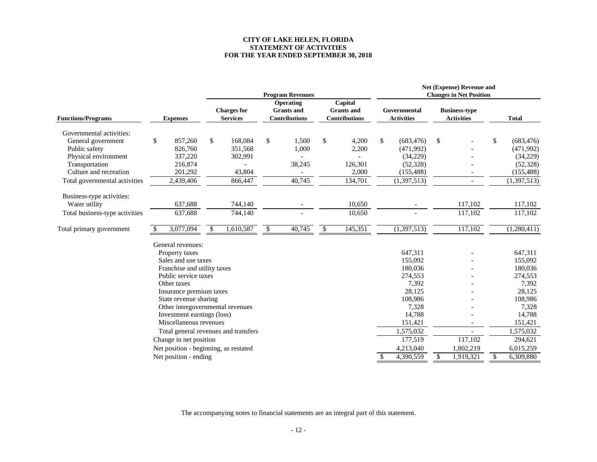#### **CITY OF LAKE HELEN, FLORIDA STATEMENT OF ACTIVITIESFOR THE YEAR ENDED SEPTEMBER 30, 2018**

|                                                                 |                 |                                                                      |                          | <b>Program Revenues</b> |                      | Net (Expense) Revenue and<br><b>Changes in Net Position</b> |                                       |                                                        |                                                      |              |                                   |  |                                           |  |              |
|-----------------------------------------------------------------|-----------------|----------------------------------------------------------------------|--------------------------|-------------------------|----------------------|-------------------------------------------------------------|---------------------------------------|--------------------------------------------------------|------------------------------------------------------|--------------|-----------------------------------|--|-------------------------------------------|--|--------------|
| <b>Functions/Programs</b>                                       | <b>Expenses</b> |                                                                      |                          |                         |                      |                                                             | <b>Charges for</b><br><b>Services</b> | Operating<br><b>Grants</b> and<br><b>Contributions</b> | Capital<br><b>Grants</b> and<br><b>Contributions</b> |              | Governmental<br><b>Activities</b> |  | <b>Business-type</b><br><b>Activities</b> |  | <b>Total</b> |
| Governmental activities:<br>General government<br>Public safety | \$              | 857,260<br>826,760                                                   | \$<br>168,084<br>351,568 | \$<br>1,500<br>1,000    | \$<br>4.200<br>2,200 | \$                                                          | (683, 476)<br>(471,992)               | \$                                                     |                                                      | \$           | (683, 476)<br>(471,992)           |  |                                           |  |              |
| Physical environment<br>Transportation                          |                 | 337,220<br>216,874                                                   | 302,991                  | 38,245                  | 126,301              |                                                             | (34,229)<br>(52, 328)                 |                                                        |                                                      |              | (34,229)<br>(52, 328)             |  |                                           |  |              |
| Culture and recreation<br>Total governmental activities         |                 | 201,292<br>2,439,406                                                 | 43,804<br>866,447        | 40,745                  | 2,000<br>134,701     |                                                             | (155, 488)<br>(1, 397, 513)           |                                                        | $\overline{\phantom{a}}$                             |              | (155, 488)<br>(1,397,513)         |  |                                           |  |              |
| Business-type activities:<br>Water utility                      |                 | 637,688                                                              | 744,140                  |                         | 10,650               |                                                             |                                       |                                                        | 117,102                                              |              | 117,102                           |  |                                           |  |              |
| Total business-type activities                                  |                 | 637,688                                                              | 744,140                  |                         | 10,650               |                                                             |                                       |                                                        | 117,102                                              |              | 117,102                           |  |                                           |  |              |
| Total primary government                                        |                 | 3,077,094                                                            | \$<br>1,610,587          | \$<br>40,745            | \$<br>145,351        |                                                             | (1,397,513)                           |                                                        | 117,102                                              |              | (1,280,411)                       |  |                                           |  |              |
|                                                                 |                 | General revenues:                                                    |                          |                         |                      |                                                             | 647,311                               |                                                        |                                                      |              | 647,311                           |  |                                           |  |              |
|                                                                 |                 | Property taxes<br>Sales and use taxes<br>Franchise and utility taxes |                          |                         |                      |                                                             | 155,092<br>180,036                    |                                                        |                                                      |              | 155,092<br>180,036                |  |                                           |  |              |
|                                                                 |                 | Public service taxes<br>Other taxes                                  |                          |                         |                      |                                                             | 274,553<br>7,392                      |                                                        |                                                      |              | 274,553<br>7,392                  |  |                                           |  |              |
|                                                                 |                 | Insurance premium taxes<br>State revenue sharing                     |                          |                         |                      |                                                             | 28,125<br>108,986                     |                                                        |                                                      |              | 28,125<br>108,986                 |  |                                           |  |              |
|                                                                 |                 | Other intergovernmental revenues<br>Investment earnings (loss)       |                          |                         |                      |                                                             | 7,328<br>14,788                       |                                                        |                                                      |              | 7,328<br>14,788                   |  |                                           |  |              |
|                                                                 |                 | Miscellaneous revenues                                               |                          |                         |                      |                                                             | 151,421                               |                                                        |                                                      |              | 151,421                           |  |                                           |  |              |
|                                                                 |                 | Total general revenues and transfers<br>Change in net position       |                          |                         |                      |                                                             | 1,575,032<br>177,519                  |                                                        | 117,102                                              |              | 1,575,032<br>294,621              |  |                                           |  |              |
|                                                                 |                 | Net position - beginning, as restated<br>Net position - ending       |                          |                         |                      | \$                                                          | 4,213,040<br>4,390,559                | \$                                                     | 1,802,219<br>1,919,321                               | $\mathbb{S}$ | 6,015,259<br>6.309.880            |  |                                           |  |              |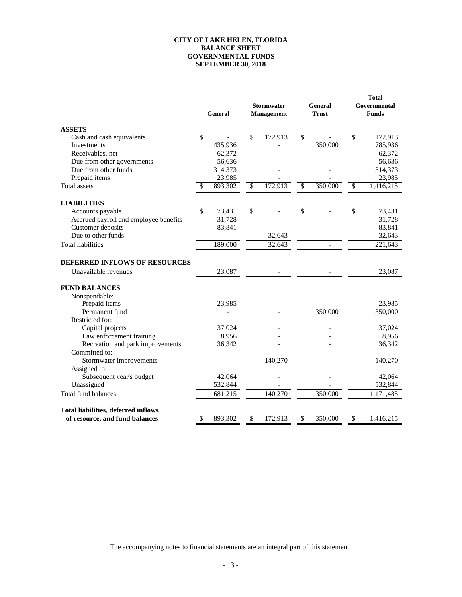#### **GOVERNMENTAL FUNDS SEPTEMBER 30, 2018 CITY OF LAKE HELEN, FLORIDA BALANCE SHEET**

|                                            | General |         | <b>Stormwater</b><br><b>Management</b> |         | General<br><b>Trust</b> | <b>Total</b><br>Governmental<br><b>Funds</b> |                        |  |
|--------------------------------------------|---------|---------|----------------------------------------|---------|-------------------------|----------------------------------------------|------------------------|--|
| <b>ASSETS</b>                              |         |         |                                        |         |                         |                                              |                        |  |
| Cash and cash equivalents                  | \$      |         | \$                                     | 172,913 | \$                      | \$                                           | 172,913                |  |
| Investments                                |         | 435,936 |                                        |         | 350,000                 |                                              | 785,936                |  |
| Receivables, net                           |         | 62,372  |                                        |         |                         |                                              | 62,372                 |  |
| Due from other governments                 |         | 56,636  |                                        |         |                         |                                              | 56,636                 |  |
| Due from other funds                       |         | 314,373 |                                        |         |                         |                                              | 314,373                |  |
| Prepaid items                              |         | 23,985  |                                        |         |                         |                                              | 23,985                 |  |
| Total assets                               | \$      | 893,302 | $\overline{\mathcal{S}}$               | 172,913 | \$<br>350,000           | $\overline{\$}$                              | 1,416,215              |  |
| <b>LIABILITIES</b>                         |         |         |                                        |         |                         |                                              |                        |  |
| Accounts payable                           | \$      | 73,431  | \$                                     |         | \$                      | \$                                           | 73,431                 |  |
| Accrued payroll and employee benefits      |         | 31,728  |                                        |         |                         |                                              | 31,728                 |  |
| Customer deposits                          |         | 83,841  |                                        |         |                         |                                              | 83,841                 |  |
| Due to other funds                         |         |         |                                        | 32,643  |                         |                                              | 32,643                 |  |
| <b>Total liabilities</b>                   |         | 189,000 |                                        | 32,643  |                         |                                              | 221,643                |  |
| <b>DEFERRED INFLOWS OF RESOURCES</b>       |         |         |                                        |         |                         |                                              |                        |  |
| Unavailable revenues                       |         | 23,087  |                                        |         |                         |                                              | 23,087                 |  |
| <b>FUND BALANCES</b>                       |         |         |                                        |         |                         |                                              |                        |  |
| Nonspendable:                              |         |         |                                        |         |                         |                                              |                        |  |
| Prepaid items                              |         | 23,985  |                                        |         |                         |                                              | 23,985                 |  |
| Permanent fund                             |         |         |                                        |         | 350,000                 |                                              | 350,000                |  |
| Restricted for:                            |         |         |                                        |         |                         |                                              |                        |  |
| Capital projects                           |         | 37,024  |                                        |         |                         |                                              | 37,024                 |  |
| Law enforcement training                   |         | 8,956   |                                        |         |                         |                                              | 8,956                  |  |
| Recreation and park improvements           |         | 36,342  |                                        |         |                         |                                              | 36,342                 |  |
| Committed to:                              |         |         |                                        |         |                         |                                              |                        |  |
| Stormwater improvements                    |         |         |                                        | 140,270 |                         |                                              | 140,270                |  |
| Assigned to:                               |         |         |                                        |         |                         |                                              |                        |  |
| Subsequent year's budget                   |         | 42,064  |                                        |         |                         |                                              | 42,064                 |  |
| Unassigned                                 |         | 532,844 |                                        |         |                         |                                              | 532,844                |  |
| Total fund balances                        |         | 681,215 |                                        | 140,270 | 350,000                 |                                              | $\overline{1,}171,485$ |  |
| <b>Total liabilities, deferred inflows</b> |         |         |                                        |         |                         |                                              |                        |  |
| of resource, and fund balances             | \$      | 893,302 | $\sqrt[6]{\frac{1}{2}}$                | 172,913 | \$<br>350,000           | $\overline{\$}$                              | 1,416,215              |  |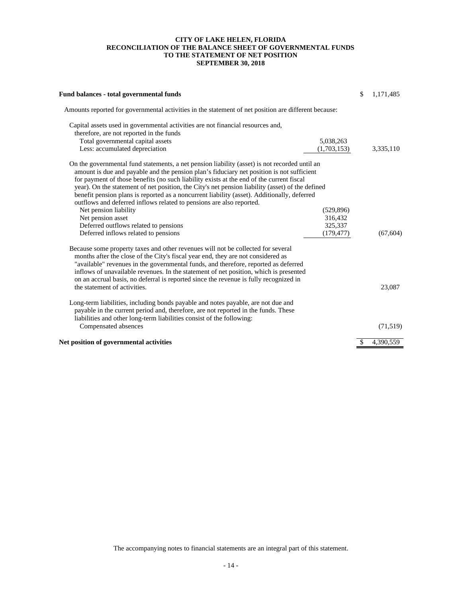#### **TO THE STATEMENT OF NET POSITION SEPTEMBER 30, 2018 CITY OF LAKE HELEN, FLORIDA RECONCILIATION OF THE BALANCE SHEET OF GOVERNMENTAL FUNDS**

| Fund balances - total governmental funds                                                                                                                                                                                                                                                                                                                                                                                                                                                                                                                          |             | \$<br>1,171,485 |
|-------------------------------------------------------------------------------------------------------------------------------------------------------------------------------------------------------------------------------------------------------------------------------------------------------------------------------------------------------------------------------------------------------------------------------------------------------------------------------------------------------------------------------------------------------------------|-------------|-----------------|
| Amounts reported for governmental activities in the statement of net position are different because:                                                                                                                                                                                                                                                                                                                                                                                                                                                              |             |                 |
| Capital assets used in governmental activities are not financial resources and,                                                                                                                                                                                                                                                                                                                                                                                                                                                                                   |             |                 |
| therefore, are not reported in the funds                                                                                                                                                                                                                                                                                                                                                                                                                                                                                                                          |             |                 |
| Total governmental capital assets                                                                                                                                                                                                                                                                                                                                                                                                                                                                                                                                 | 5,038,263   |                 |
| Less: accumulated depreciation                                                                                                                                                                                                                                                                                                                                                                                                                                                                                                                                    | (1,703,153) | 3,335,110       |
| On the governmental fund statements, a net pension liability (asset) is not recorded until an<br>amount is due and payable and the pension plan's fiduciary net position is not sufficient<br>for payment of those benefits (no such liability exists at the end of the current fiscal<br>year). On the statement of net position, the City's net pension liability (asset) of the defined<br>benefit pension plans is reported as a noncurrent liability (asset). Additionally, deferred<br>outflows and deferred inflows related to pensions are also reported. |             |                 |
| Net pension liability                                                                                                                                                                                                                                                                                                                                                                                                                                                                                                                                             | (529, 896)  |                 |
| Net pension asset                                                                                                                                                                                                                                                                                                                                                                                                                                                                                                                                                 | 316,432     |                 |
| Deferred outflows related to pensions                                                                                                                                                                                                                                                                                                                                                                                                                                                                                                                             | 325,337     |                 |
| Deferred inflows related to pensions                                                                                                                                                                                                                                                                                                                                                                                                                                                                                                                              | (179, 477)  | (67, 604)       |
| Because some property taxes and other revenues will not be collected for several<br>months after the close of the City's fiscal year end, they are not considered as<br>"available" revenues in the governmental funds, and therefore, reported as deferred<br>inflows of unavailable revenues. In the statement of net position, which is presented<br>on an accrual basis, no deferral is reported since the revenue is fully recognized in<br>the statement of activities.                                                                                     |             | 23,087          |
| Long-term liabilities, including bonds payable and notes payable, are not due and<br>payable in the current period and, therefore, are not reported in the funds. These<br>liabilities and other long-term liabilities consist of the following:                                                                                                                                                                                                                                                                                                                  |             |                 |
| Compensated absences                                                                                                                                                                                                                                                                                                                                                                                                                                                                                                                                              |             | (71, 519)       |
| Net position of governmental activities                                                                                                                                                                                                                                                                                                                                                                                                                                                                                                                           |             | \$<br>4.390.559 |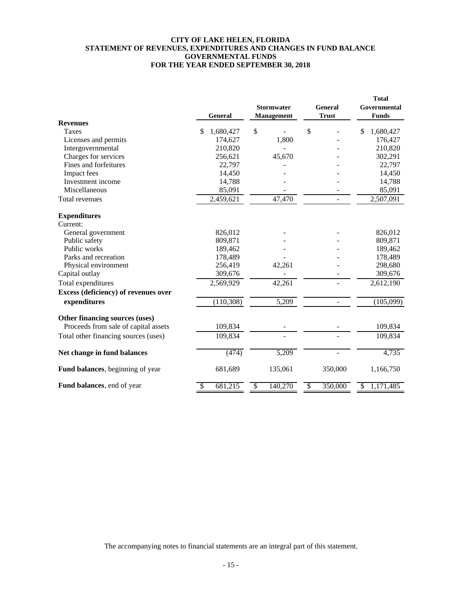#### **CITY OF LAKE HELEN, FLORIDA STATEMENT OF REVENUES, EXPENDITURES AND CHANGES IN FUND BALANCE GOVERNMENTAL FUNDS FOR THE YEAR ENDED SEPTEMBER 30, 2018**

|                                      |                 |                   |                                     | <b>Total</b>    |
|--------------------------------------|-----------------|-------------------|-------------------------------------|-----------------|
|                                      |                 | <b>Stormwater</b> | <b>General</b>                      | Governmental    |
|                                      | General         | <b>Management</b> | <b>Trust</b>                        | <b>Funds</b>    |
| <b>Revenues</b>                      |                 |                   |                                     |                 |
| Taxes                                | \$<br>1,680,427 | \$                | \$                                  | 1,680,427<br>\$ |
| Licenses and permits                 | 174,627         | 1,800             |                                     | 176,427         |
| Intergovernmental                    | 210,820         |                   |                                     | 210,820         |
| Charges for services                 | 256,621         | 45,670            |                                     | 302,291         |
| Fines and forfeitures                | 22,797          |                   |                                     | 22,797          |
| Impact fees                          | 14,450          |                   |                                     | 14,450          |
| Investment income                    | 14,788          |                   |                                     | 14,788          |
| Miscellaneous                        | 85,091          |                   |                                     | 85,091          |
| Total revenues                       | 2,459,621       | 47,470            |                                     | 2,507,091       |
| <b>Expenditures</b>                  |                 |                   |                                     |                 |
| Current:                             |                 |                   |                                     |                 |
| General government                   | 826,012         |                   |                                     | 826,012         |
| Public safety                        | 809,871         |                   |                                     | 809,871         |
| Public works                         | 189,462         |                   |                                     | 189,462         |
| Parks and recreation                 | 178,489         |                   |                                     | 178,489         |
| Physical environment                 | 256,419         | 42,261            |                                     | 298,680         |
| Capital outlay                       | 309,676         |                   |                                     | 309,676         |
| Total expenditures                   | 2,569,929       | 42,261            |                                     | 2,612,190       |
| Excess (deficiency) of revenues over |                 |                   |                                     |                 |
| expenditures                         | (110, 308)      | 5,209             |                                     | (105,099)       |
| Other financing sources (uses)       |                 |                   |                                     |                 |
| Proceeds from sale of capital assets | 109,834         |                   |                                     | 109,834         |
| Total other financing sources (uses) | 109,834         |                   |                                     | 109,834         |
| Net change in fund balances          | (474)           | 5,209             | $\sim$                              | 4,735           |
|                                      |                 |                   |                                     |                 |
| Fund balances, beginning of year     | 681,689         | 135,061           | 350,000                             | 1,166,750       |
| Fund balances, end of year           | 681,215<br>\$   | 140,270<br>\$     | $\overline{\mathcal{S}}$<br>350,000 | 1,171,485<br>\$ |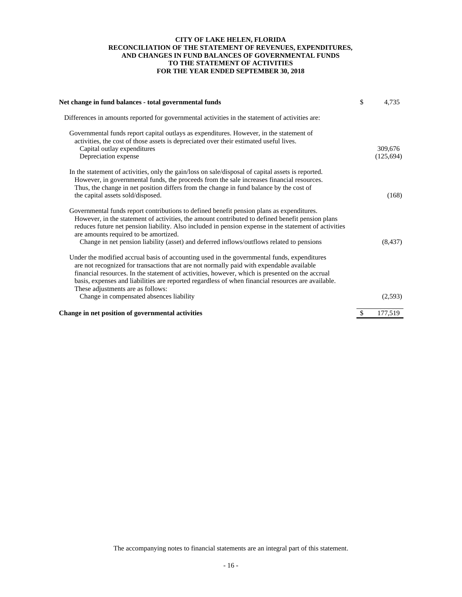#### **CITY OF LAKE HELEN, FLORIDA RECONCILIATION OF THE STATEMENT OF REVENUES, EXPENDITURES, TO THE STATEMENT OF ACTIVITIES FOR THE YEAR ENDED SEPTEMBER 30, 2018 AND CHANGES IN FUND BALANCES OF GOVERNMENTAL FUNDS**

| Net change in fund balances - total governmental funds                                                                                                                                                                                                                                                                                                                                                                                       | \$<br>4,735           |
|----------------------------------------------------------------------------------------------------------------------------------------------------------------------------------------------------------------------------------------------------------------------------------------------------------------------------------------------------------------------------------------------------------------------------------------------|-----------------------|
| Differences in amounts reported for governmental activities in the statement of activities are:                                                                                                                                                                                                                                                                                                                                              |                       |
| Governmental funds report capital outlays as expenditures. However, in the statement of<br>activities, the cost of those assets is depreciated over their estimated useful lives.<br>Capital outlay expenditures<br>Depreciation expense                                                                                                                                                                                                     | 309,676<br>(125, 694) |
| In the statement of activities, only the gain/loss on sale/disposal of capital assets is reported.<br>However, in governmental funds, the proceeds from the sale increases financial resources.<br>Thus, the change in net position differs from the change in fund balance by the cost of<br>the capital assets sold/disposed.                                                                                                              | (168)                 |
| Governmental funds report contributions to defined benefit pension plans as expenditures.<br>However, in the statement of activities, the amount contributed to defined benefit pension plans<br>reduces future net pension liability. Also included in pension expense in the statement of activities<br>are amounts required to be amortized.<br>Change in net pension liability (asset) and deferred inflows/outflows related to pensions | (8, 437)              |
| Under the modified accrual basis of accounting used in the governmental funds, expenditures<br>are not recognized for transactions that are not normally paid with expendable available<br>financial resources. In the statement of activities, however, which is presented on the accrual<br>basis, expenses and liabilities are reported regardless of when financial resources are available.<br>These adjustments are as follows:        |                       |
| Change in compensated absences liability                                                                                                                                                                                                                                                                                                                                                                                                     | (2,593)               |
| Change in net position of governmental activities                                                                                                                                                                                                                                                                                                                                                                                            | 177,519               |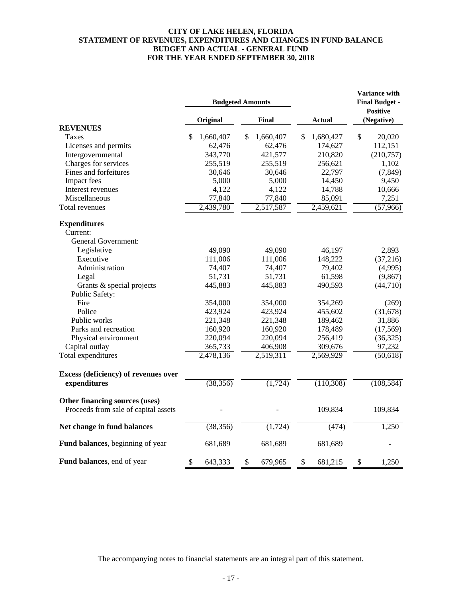## **CITY OF LAKE HELEN, FLORIDA STATEMENT OF REVENUES, EXPENDITURES AND CHANGES IN FUND BALANCE BUDGET AND ACTUAL - GENERAL FUND FOR THE YEAR ENDED SEPTEMBER 30, 2018**

|                                      | <b>Budgeted Amounts</b> |       |           |        |           | Variance with<br><b>Final Budget -</b><br><b>Positive</b> |            |  |
|--------------------------------------|-------------------------|-------|-----------|--------|-----------|-----------------------------------------------------------|------------|--|
|                                      | Original                | Final |           | Actual |           | (Negative)                                                |            |  |
| <b>REVENUES</b>                      |                         |       |           |        |           |                                                           |            |  |
| Taxes                                | \$<br>1,660,407         | S     | 1,660,407 | \$     | 1,680,427 | $\mathsf{\$}$                                             | 20,020     |  |
| Licenses and permits                 | 62,476                  |       | 62,476    |        | 174,627   |                                                           | 112,151    |  |
| Intergovernmental                    | 343,770                 |       | 421,577   |        | 210,820   |                                                           | (210,757)  |  |
| Charges for services                 | 255,519                 |       | 255,519   |        | 256,621   |                                                           | 1,102      |  |
| Fines and forfeitures                | 30,646                  |       | 30,646    |        | 22,797    |                                                           | (7, 849)   |  |
| Impact fees                          | 5,000                   |       | 5,000     |        | 14,450    |                                                           | 9,450      |  |
| Interest revenues                    | 4,122                   |       | 4,122     |        | 14,788    |                                                           | 10,666     |  |
| Miscellaneous                        | 77,840                  |       | 77,840    |        | 85,091    |                                                           | 7,251      |  |
| Total revenues                       | 2,439,780               |       | 2,517,587 |        | 2,459,621 |                                                           | (57,966)   |  |
| <b>Expenditures</b>                  |                         |       |           |        |           |                                                           |            |  |
| Current:                             |                         |       |           |        |           |                                                           |            |  |
| <b>General Government:</b>           |                         |       |           |        |           |                                                           |            |  |
| Legislative                          | 49,090                  |       | 49,090    |        | 46,197    |                                                           | 2,893      |  |
| Executive                            | 111,006                 |       | 111,006   |        | 148,222   |                                                           | (37,216)   |  |
| Administration                       | 74,407                  |       | 74,407    |        | 79,402    |                                                           | (4,995)    |  |
| Legal                                | 51,731                  |       | 51,731    |        | 61,598    |                                                           | (9, 867)   |  |
| Grants & special projects            | 445,883                 |       | 445,883   |        | 490,593   |                                                           | (44,710)   |  |
| Public Safety:                       |                         |       |           |        |           |                                                           |            |  |
| Fire                                 | 354,000                 |       | 354,000   |        | 354,269   |                                                           | (269)      |  |
| Police                               | 423,924                 |       | 423,924   |        | 455,602   |                                                           | (31,678)   |  |
| Public works                         | 221,348                 |       | 221,348   |        | 189,462   |                                                           | 31,886     |  |
| Parks and recreation                 | 160,920                 |       | 160,920   |        | 178,489   |                                                           | (17, 569)  |  |
| Physical environment                 | 220,094                 |       | 220,094   |        | 256,419   |                                                           | (36, 325)  |  |
| Capital outlay                       | 365,733                 |       | 406,908   |        | 309,676   |                                                           | 97,232     |  |
| Total expenditures                   | 2,478,136               |       | 2,519,311 |        | 2,569,929 |                                                           | (50,618)   |  |
| Excess (deficiency) of revenues over |                         |       |           |        |           |                                                           |            |  |
| expenditures                         | (38, 356)               |       | (1, 724)  |        | (110,308) |                                                           | (108, 584) |  |
| Other financing sources (uses)       |                         |       |           |        |           |                                                           |            |  |
| Proceeds from sale of capital assets |                         |       |           |        | 109,834   |                                                           | 109,834    |  |
| Net change in fund balances          | (38, 356)               |       | (1, 724)  |        | (474)     |                                                           | 1,250      |  |
| Fund balances, beginning of year     | 681,689                 |       | 681,689   |        | 681,689   |                                                           |            |  |
| Fund balances, end of year           | \$<br>643,333           | \$    | 679,965   | \$     | 681,215   | \$                                                        | 1,250      |  |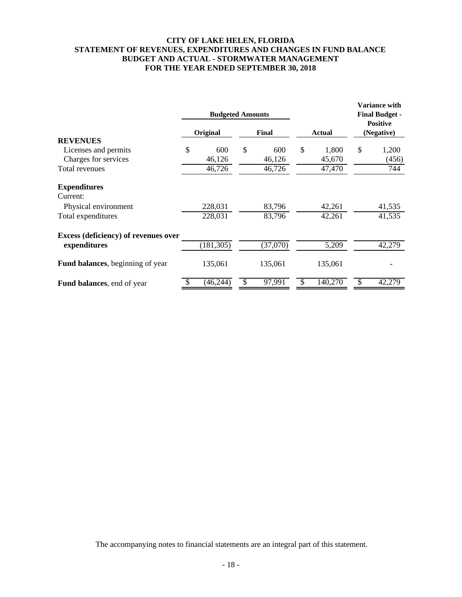# **CITY OF LAKE HELEN, FLORIDA STATEMENT OF REVENUES, EXPENDITURES AND CHANGES IN FUND BALANCE BUDGET AND ACTUAL - STORMWATER MANAGEMENT FOR THE YEAR ENDED SEPTEMBER 30, 2018**

|                                      | <b>Budgeted Amounts</b> |              |               | <b>Variance with</b><br><b>Final Budget -</b><br><b>Positive</b> |            |  |
|--------------------------------------|-------------------------|--------------|---------------|------------------------------------------------------------------|------------|--|
|                                      | Original                | <b>Final</b> | <b>Actual</b> |                                                                  | (Negative) |  |
| <b>REVENUES</b>                      |                         |              |               |                                                                  |            |  |
| Licenses and permits                 | \$<br>600               | \$<br>600    | \$<br>1,800   | \$                                                               | 1,200      |  |
| Charges for services                 | 46,126                  | 46,126       | 45,670        |                                                                  | (456)      |  |
| Total revenues                       | 46,726                  | 46,726       | 47,470        |                                                                  | 744        |  |
| <b>Expenditures</b>                  |                         |              |               |                                                                  |            |  |
| Current:                             |                         |              |               |                                                                  |            |  |
| Physical environment                 | 228,031                 | 83,796       | 42,261        |                                                                  | 41,535     |  |
| Total expenditures                   | 228,031                 | 83,796       | 42,261        |                                                                  | 41,535     |  |
| Excess (deficiency) of revenues over |                         |              |               |                                                                  |            |  |
| expenditures                         | (181, 305)              | (37,070)     | 5,209         |                                                                  | 42,279     |  |
| Fund balances, beginning of year     | 135,061                 | 135,061      | 135,061       |                                                                  |            |  |
| <b>Fund balances</b> , end of year   | (46, 244)               | \$<br>97,991 | 140,270       |                                                                  | 42,279     |  |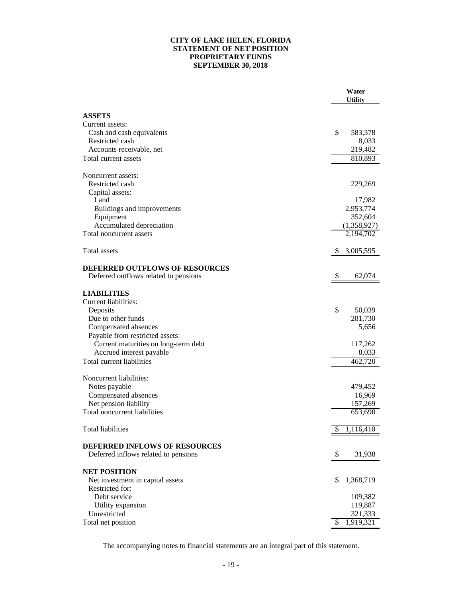## **CITY OF LAKE HELEN, FLORIDA STATEMENT OF NET POSITION PROPRIETARY FUNDS SEPTEMBER 30, 2018**

|                                                                              | Water<br><b>Utility</b> |
|------------------------------------------------------------------------------|-------------------------|
|                                                                              |                         |
| <b>ASSETS</b>                                                                |                         |
| Current assets:                                                              |                         |
| Cash and cash equivalents                                                    | \$<br>583,378           |
| Restricted cash                                                              | 8,033                   |
| Accounts receivable, net                                                     | 219,482                 |
| Total current assets                                                         | 810,893                 |
| Noncurrent assets:                                                           |                         |
| Restricted cash                                                              | 229,269                 |
| Capital assets:                                                              |                         |
| Land                                                                         | 17,982                  |
| Buildings and improvements                                                   | 2,953,774               |
| Equipment                                                                    | 352,604                 |
| Accumulated depreciation                                                     | (1,358,927)             |
| Total noncurrent assets                                                      | 2,194,702               |
| Total assets                                                                 | 3,005,595<br>S          |
|                                                                              |                         |
| <b>DEFERRED OUTFLOWS OF RESOURCES</b>                                        |                         |
| Deferred outflows related to pensions                                        | 62,074<br><sup>8</sup>  |
| <b>LIABILITIES</b>                                                           |                         |
| Current liabilities:                                                         |                         |
| Deposits                                                                     | \$<br>50,039            |
| Due to other funds                                                           | 281,730                 |
| Compensated absences                                                         | 5,656                   |
| Payable from restricted assets:                                              |                         |
| Current maturities on long-term debt                                         | 117,262                 |
| Accrued interest payable                                                     | 8,033                   |
| Total current liabilities                                                    | 462,720                 |
|                                                                              |                         |
| Noncurrent liabilities:                                                      |                         |
| Notes payable                                                                | 479,452<br>16,969       |
| Compensated absences<br>Net pension liability                                | 157,269                 |
| Total noncurrent liabilities                                                 | 653,690                 |
|                                                                              |                         |
| <b>Total liabilities</b>                                                     | 1,116,410<br>P          |
|                                                                              |                         |
| <b>DEFERRED INFLOWS OF RESOURCES</b><br>Deferred inflows related to pensions | \$<br>31,938            |
|                                                                              |                         |
| <b>NET POSITION</b>                                                          |                         |
| Net investment in capital assets                                             | 1,368,719<br>\$         |
| Restricted for:                                                              |                         |
| Debt service                                                                 | 109,382                 |
| Utility expansion                                                            | 119,887                 |
| Unrestricted                                                                 | 321,333                 |
| Total net position                                                           | 1,919,321<br>\$         |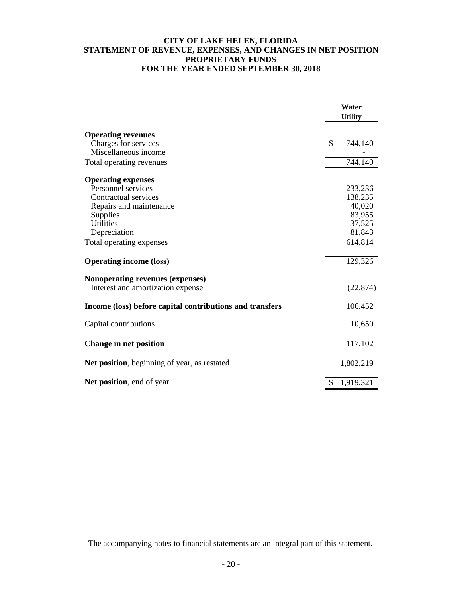# **CITY OF LAKE HELEN, FLORIDA STATEMENT OF REVENUE, EXPENSES, AND CHANGES IN NET POSITION PROPRIETARY FUNDS FOR THE YEAR ENDED SEPTEMBER 30, 2018**

|                                                          | Water<br><b>Utility</b> |
|----------------------------------------------------------|-------------------------|
| <b>Operating revenues</b>                                |                         |
| Charges for services                                     | \$<br>744,140           |
| Miscellaneous income                                     |                         |
| Total operating revenues                                 | 744,140                 |
| <b>Operating expenses</b>                                |                         |
| Personnel services                                       | 233,236                 |
| Contractual services                                     | 138,235                 |
| Repairs and maintenance                                  | 40,020                  |
| Supplies                                                 | 83,955                  |
| <b>Utilities</b>                                         | 37,525                  |
| Depreciation                                             | 81,843                  |
| Total operating expenses                                 | 614,814                 |
| <b>Operating income (loss)</b>                           | 129,326                 |
| Nonoperating revenues (expenses)                         |                         |
| Interest and amortization expense                        | (22, 874)               |
| Income (loss) before capital contributions and transfers | 106,452                 |
| Capital contributions                                    | 10,650                  |
| Change in net position                                   | 117,102                 |
| Net position, beginning of year, as restated             | 1,802,219               |
| Net position, end of year                                | \$<br>1,919,321         |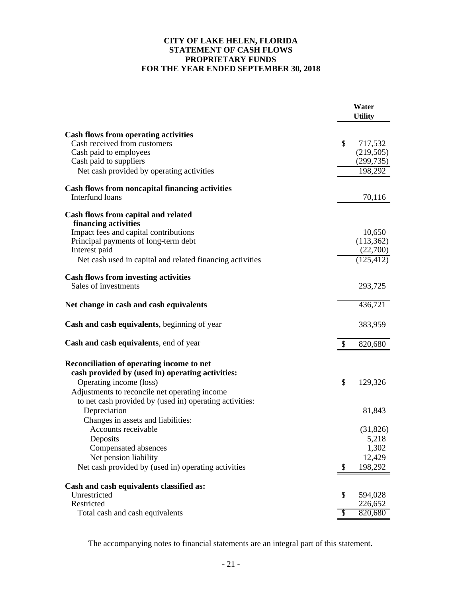# **CITY OF LAKE HELEN, FLORIDA STATEMENT OF CASH FLOWS PROPRIETARY FUNDS FOR THE YEAR ENDED SEPTEMBER 30, 2018**

|                                                             |                          | Water<br><b>Utility</b> |
|-------------------------------------------------------------|--------------------------|-------------------------|
| <b>Cash flows from operating activities</b>                 |                          |                         |
| Cash received from customers                                | $\mathbb{S}$             | 717,532                 |
| Cash paid to employees                                      |                          | (219,505)               |
| Cash paid to suppliers                                      |                          | (299, 735)              |
| Net cash provided by operating activities                   |                          | 198,292                 |
| <b>Cash flows from noncapital financing activities</b>      |                          |                         |
| Interfund loans                                             |                          | 70,116                  |
| Cash flows from capital and related<br>financing activities |                          |                         |
| Impact fees and capital contributions                       |                          | 10,650                  |
| Principal payments of long-term debt                        |                          | (113, 362)              |
| Interest paid                                               |                          | (22,700)                |
| Net cash used in capital and related financing activities   |                          | (125, 412)              |
| <b>Cash flows from investing activities</b>                 |                          |                         |
| Sales of investments                                        |                          | 293,725                 |
| Net change in cash and cash equivalents                     |                          | 436,721                 |
| Cash and cash equivalents, beginning of year                |                          | 383,959                 |
| <b>Cash and cash equivalents</b> , end of year              | \$                       | 820,680                 |
| Reconciliation of operating income to net                   |                          |                         |
| cash provided by (used in) operating activities:            |                          |                         |
| Operating income (loss)                                     | \$                       | 129,326                 |
| Adjustments to reconcile net operating income               |                          |                         |
| to net cash provided by (used in) operating activities:     |                          |                         |
| Depreciation                                                |                          | 81,843                  |
| Changes in assets and liabilities:                          |                          |                         |
| Accounts receivable                                         |                          | (31,826)                |
| Deposits                                                    |                          | 5,218                   |
| Compensated absences                                        |                          | 1,302                   |
| Net pension liability                                       |                          | 12,429                  |
| Net cash provided by (used in) operating activities         | $\overline{\mathcal{S}}$ | 198,292                 |
| Cash and cash equivalents classified as:                    |                          |                         |
| Unrestricted                                                | \$                       | 594,028                 |
| Restricted                                                  |                          | 226,652                 |
| Total cash and cash equivalents                             | $\mathcal{S}$            | 820,680                 |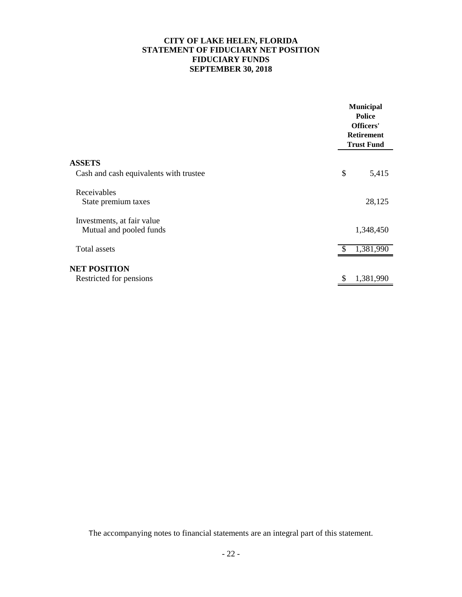# **CITY OF LAKE HELEN, FLORIDA STATEMENT OF FIDUCIARY NET POSITION FIDUCIARY FUNDS SEPTEMBER 30, 2018**

|                                                       | <b>Municipal</b><br><b>Police</b><br>Officers'<br><b>Retirement</b><br><b>Trust Fund</b> |
|-------------------------------------------------------|------------------------------------------------------------------------------------------|
| <b>ASSETS</b>                                         |                                                                                          |
| Cash and cash equivalents with trustee                | \$<br>5,415                                                                              |
| Receivables<br>State premium taxes                    | 28,125                                                                                   |
| Investments, at fair value<br>Mutual and pooled funds | 1,348,450                                                                                |
| <b>Total assets</b>                                   | 1,381,990<br>\$.                                                                         |
| <b>NET POSITION</b><br>Restricted for pensions        | 1,381,990                                                                                |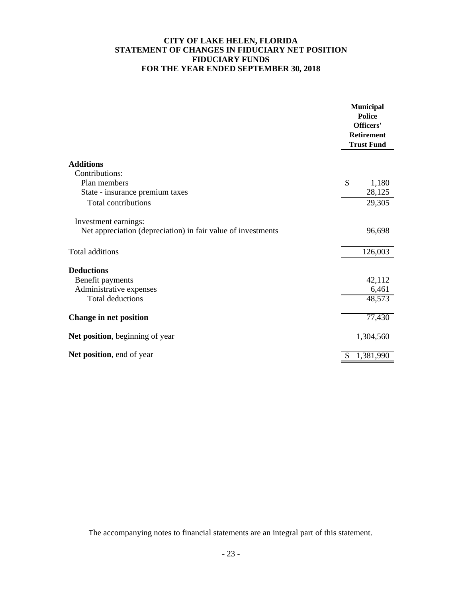# **CITY OF LAKE HELEN, FLORIDA STATEMENT OF CHANGES IN FIDUCIARY NET POSITION FIDUCIARY FUNDS FOR THE YEAR ENDED SEPTEMBER 30, 2018**

|                                                              |              | <b>Municipal</b><br><b>Police</b><br>Officers'<br>Retirement<br><b>Trust Fund</b> |
|--------------------------------------------------------------|--------------|-----------------------------------------------------------------------------------|
| <b>Additions</b>                                             |              |                                                                                   |
| Contributions:                                               |              |                                                                                   |
| Plan members                                                 | \$           | 1,180                                                                             |
| State - insurance premium taxes                              |              | 28,125                                                                            |
| <b>Total contributions</b>                                   |              | 29,305                                                                            |
| Investment earnings:                                         |              |                                                                                   |
| Net appreciation (depreciation) in fair value of investments |              | 96,698                                                                            |
| <b>Total additions</b>                                       |              | 126,003                                                                           |
| <b>Deductions</b>                                            |              |                                                                                   |
| Benefit payments                                             |              | 42,112                                                                            |
| Administrative expenses                                      |              | 6,461                                                                             |
| <b>Total deductions</b>                                      |              | 48,573                                                                            |
| <b>Change in net position</b>                                |              | 77,430                                                                            |
| Net position, beginning of year                              |              | 1,304,560                                                                         |
| Net position, end of year                                    | $\mathbb{S}$ | $\overline{1,381,990}$                                                            |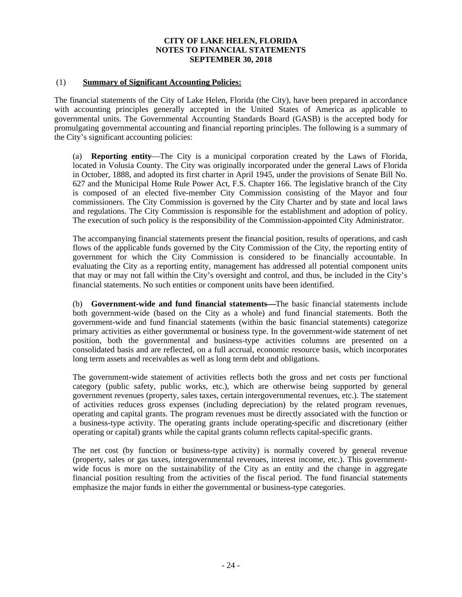# (1) **Summary of Significant Accounting Policies:**

The financial statements of the City of Lake Helen, Florida (the City), have been prepared in accordance with accounting principles generally accepted in the United States of America as applicable to governmental units. The Governmental Accounting Standards Board (GASB) is the accepted body for promulgating governmental accounting and financial reporting principles. The following is a summary of the City's significant accounting policies:

(a) **Reporting entity**—The City is a municipal corporation created by the Laws of Florida, located in Volusia County. The City was originally incorporated under the general Laws of Florida in October, 1888, and adopted its first charter in April 1945, under the provisions of Senate Bill No. 627 and the Municipal Home Rule Power Act, F.S. Chapter 166. The legislative branch of the City is composed of an elected five-member City Commission consisting of the Mayor and four commissioners. The City Commission is governed by the City Charter and by state and local laws and regulations. The City Commission is responsible for the establishment and adoption of policy. The execution of such policy is the responsibility of the Commission-appointed City Administrator.

The accompanying financial statements present the financial position, results of operations, and cash flows of the applicable funds governed by the City Commission of the City, the reporting entity of government for which the City Commission is considered to be financially accountable. In evaluating the City as a reporting entity, management has addressed all potential component units that may or may not fall within the City's oversight and control, and thus, be included in the City's financial statements. No such entities or component units have been identified.

(b) **Government-wide and fund financial statements—The basic financial statements include** both government-wide (based on the City as a whole) and fund financial statements. Both the government-wide and fund financial statements (within the basic financial statements) categorize primary activities as either governmental or business type. In the government-wide statement of net position, both the governmental and business-type activities columns are presented on a consolidated basis and are reflected, on a full accrual, economic resource basis, which incorporates long term assets and receivables as well as long term debt and obligations.

The government-wide statement of activities reflects both the gross and net costs per functional category (public safety, public works, etc.), which are otherwise being supported by general government revenues (property, sales taxes, certain intergovernmental revenues, etc.). The statement of activities reduces gross expenses (including depreciation) by the related program revenues, operating and capital grants. The program revenues must be directly associated with the function or a business-type activity. The operating grants include operating-specific and discretionary (either operating or capital) grants while the capital grants column reflects capital-specific grants.

The net cost (by function or business-type activity) is normally covered by general revenue (property, sales or gas taxes, intergovernmental revenues, interest income, etc.). This governmentwide focus is more on the sustainability of the City as an entity and the change in aggregate financial position resulting from the activities of the fiscal period. The fund financial statements emphasize the major funds in either the governmental or business-type categories.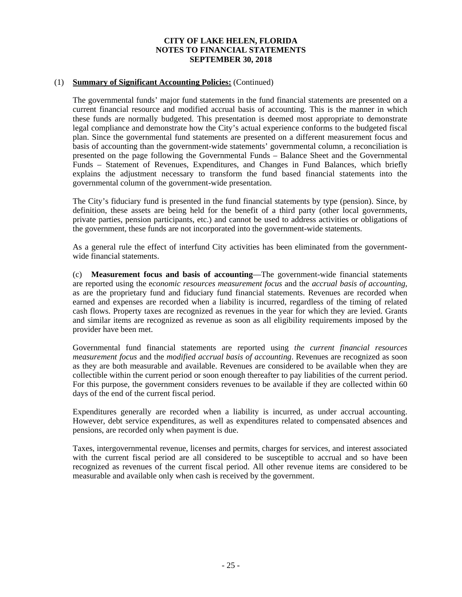## (1) **Summary of Significant Accounting Policies:** (Continued)

The governmental funds' major fund statements in the fund financial statements are presented on a current financial resource and modified accrual basis of accounting. This is the manner in which these funds are normally budgeted. This presentation is deemed most appropriate to demonstrate legal compliance and demonstrate how the City's actual experience conforms to the budgeted fiscal plan. Since the governmental fund statements are presented on a different measurement focus and basis of accounting than the government-wide statements' governmental column, a reconciliation is presented on the page following the Governmental Funds – Balance Sheet and the Governmental Funds – Statement of Revenues, Expenditures, and Changes in Fund Balances, which briefly explains the adjustment necessary to transform the fund based financial statements into the governmental column of the government-wide presentation.

The City's fiduciary fund is presented in the fund financial statements by type (pension). Since, by definition, these assets are being held for the benefit of a third party (other local governments, private parties, pension participants, etc.) and cannot be used to address activities or obligations of the government, these funds are not incorporated into the government-wide statements.

As a general rule the effect of interfund City activities has been eliminated from the governmentwide financial statements.

(c) **Measurement focus and basis of accounting**—The government-wide financial statements are reported using the e*conomic resources measurement focus* and the *accrual basis of accounting*, as are the proprietary fund and fiduciary fund financial statements. Revenues are recorded when earned and expenses are recorded when a liability is incurred, regardless of the timing of related cash flows. Property taxes are recognized as revenues in the year for which they are levied. Grants and similar items are recognized as revenue as soon as all eligibility requirements imposed by the provider have been met.

Governmental fund financial statements are reported using *the current financial resources measurement focus* and the *modified accrual basis of accounting*. Revenues are recognized as soon as they are both measurable and available. Revenues are considered to be available when they are collectible within the current period or soon enough thereafter to pay liabilities of the current period. For this purpose, the government considers revenues to be available if they are collected within 60 days of the end of the current fiscal period.

Expenditures generally are recorded when a liability is incurred, as under accrual accounting. However, debt service expenditures, as well as expenditures related to compensated absences and pensions, are recorded only when payment is due.

Taxes, intergovernmental revenue, licenses and permits, charges for services, and interest associated with the current fiscal period are all considered to be susceptible to accrual and so have been recognized as revenues of the current fiscal period. All other revenue items are considered to be measurable and available only when cash is received by the government.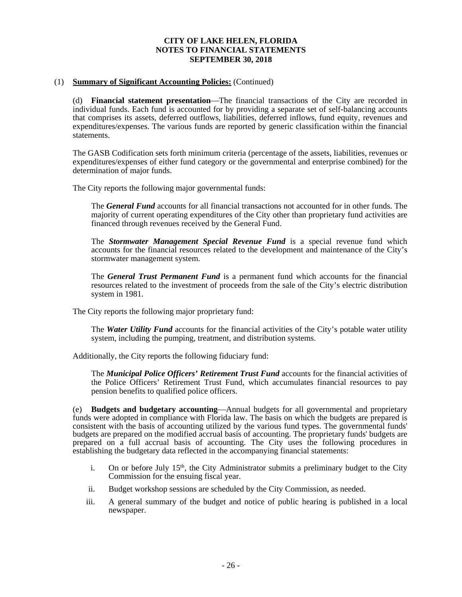## (1) **Summary of Significant Accounting Policies:** (Continued)

(d) **Financial statement presentation**—The financial transactions of the City are recorded in individual funds. Each fund is accounted for by providing a separate set of self-balancing accounts that comprises its assets, deferred outflows, liabilities, deferred inflows, fund equity, revenues and expenditures/expenses. The various funds are reported by generic classification within the financial statements.

The GASB Codification sets forth minimum criteria (percentage of the assets, liabilities, revenues or expenditures/expenses of either fund category or the governmental and enterprise combined) for the determination of major funds.

The City reports the following major governmental funds:

The *General Fund* accounts for all financial transactions not accounted for in other funds. The majority of current operating expenditures of the City other than proprietary fund activities are financed through revenues received by the General Fund.

The *Stormwater Management Special Revenue Fund* is a special revenue fund which accounts for the financial resources related to the development and maintenance of the City's stormwater management system.

The *General Trust Permanent Fund* is a permanent fund which accounts for the financial resources related to the investment of proceeds from the sale of the City's electric distribution system in 1981.

The City reports the following major proprietary fund:

The *Water Utility Fund* accounts for the financial activities of the City's potable water utility system, including the pumping, treatment, and distribution systems.

Additionally, the City reports the following fiduciary fund:

The *Municipal Police Officers' Retirement Trust Fund* accounts for the financial activities of the Police Officers' Retirement Trust Fund, which accumulates financial resources to pay pension benefits to qualified police officers.

(e) **Budgets and budgetary accounting—Annual budgets for all governmental and proprietary** funds were adopted in compliance with Florida law. The basis on which the budgets are prepared is consistent with the basis of accounting utilized by the various fund types. The governmental funds' budgets are prepared on the modified accrual basis of accounting. The proprietary funds' budgets are prepared on a full accrual basis of accounting. The City uses the following procedures in establishing the budgetary data reflected in the accompanying financial statements:

- i. On or before July  $15<sup>th</sup>$ , the City Administrator submits a preliminary budget to the City Commission for the ensuing fiscal year.
- ii. Budget workshop sessions are scheduled by the City Commission, as needed.
- iii. A general summary of the budget and notice of public hearing is published in a local newspaper.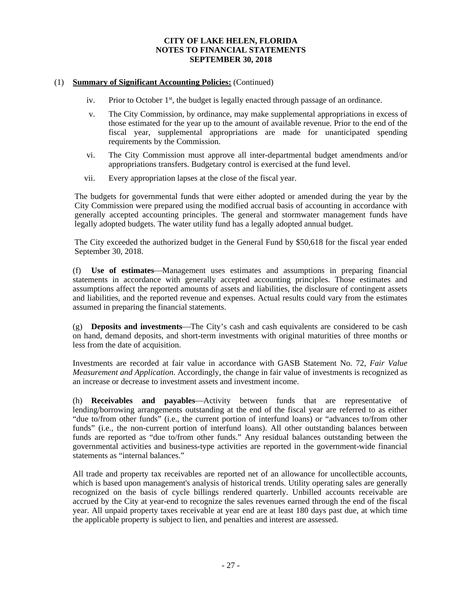## (1) **Summary of Significant Accounting Policies:** (Continued)

- iv. Prior to October  $1<sup>st</sup>$ , the budget is legally enacted through passage of an ordinance.
- v. The City Commission, by ordinance, may make supplemental appropriations in excess of those estimated for the year up to the amount of available revenue. Prior to the end of the fiscal year, supplemental appropriations are made for unanticipated spending requirements by the Commission.
- vi. The City Commission must approve all inter-departmental budget amendments and/or appropriations transfers. Budgetary control is exercised at the fund level.
- vii. Every appropriation lapses at the close of the fiscal year.

The budgets for governmental funds that were either adopted or amended during the year by the City Commission were prepared using the modified accrual basis of accounting in accordance with generally accepted accounting principles. The general and stormwater management funds have legally adopted budgets. The water utility fund has a legally adopted annual budget.

The City exceeded the authorized budget in the General Fund by \$50,618 for the fiscal year ended September 30, 2018.

(f) **Use of estimates**Management uses estimates and assumptions in preparing financial statements in accordance with generally accepted accounting principles. Those estimates and assumptions affect the reported amounts of assets and liabilities, the disclosure of contingent assets and liabilities, and the reported revenue and expenses. Actual results could vary from the estimates assumed in preparing the financial statements.

 $(g)$  **Deposits and investments**—The City's cash and cash equivalents are considered to be cash on hand, demand deposits, and short-term investments with original maturities of three months or less from the date of acquisition.

Investments are recorded at fair value in accordance with GASB Statement No. 72, *Fair Value Measurement and Application*. Accordingly, the change in fair value of investments is recognized as an increase or decrease to investment assets and investment income.

(h) **Receivables and payables**—Activity between funds that are representative of lending/borrowing arrangements outstanding at the end of the fiscal year are referred to as either "due to/from other funds" (i.e., the current portion of interfund loans) or "advances to/from other funds" (i.e., the non-current portion of interfund loans). All other outstanding balances between funds are reported as "due to/from other funds." Any residual balances outstanding between the governmental activities and business-type activities are reported in the government-wide financial statements as "internal balances."

All trade and property tax receivables are reported net of an allowance for uncollectible accounts, which is based upon management's analysis of historical trends. Utility operating sales are generally recognized on the basis of cycle billings rendered quarterly. Unbilled accounts receivable are accrued by the City at year-end to recognize the sales revenues earned through the end of the fiscal year. All unpaid property taxes receivable at year end are at least 180 days past due, at which time the applicable property is subject to lien, and penalties and interest are assessed.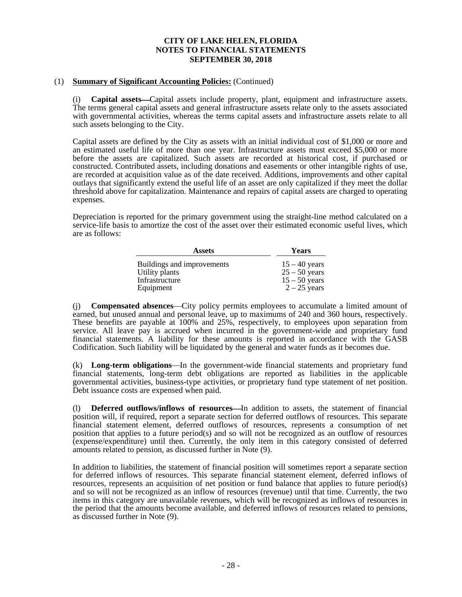## (1) **Summary of Significant Accounting Policies:** (Continued)

(i) **Capital assets**—Capital assets include property, plant, equipment and infrastructure assets. The terms general capital assets and general infrastructure assets relate only to the assets associated with governmental activities, whereas the terms capital assets and infrastructure assets relate to all such assets belonging to the City.

Capital assets are defined by the City as assets with an initial individual cost of \$1,000 or more and an estimated useful life of more than one year. Infrastructure assets must exceed \$5,000 or more before the assets are capitalized. Such assets are recorded at historical cost, if purchased or constructed. Contributed assets, including donations and easements or other intangible rights of use, are recorded at acquisition value as of the date received. Additions, improvements and other capital outlays that significantly extend the useful life of an asset are only capitalized if they meet the dollar threshold above for capitalization. Maintenance and repairs of capital assets are charged to operating expenses.

Depreciation is reported for the primary government using the straight-line method calculated on a service-life basis to amortize the cost of the asset over their estimated economic useful lives, which are as follows:

| <b>Assets</b>              | <b>Years</b>    |
|----------------------------|-----------------|
| Buildings and improvements | $15 - 40$ years |
| Utility plants             | $25 - 50$ years |
| Infrastructure             | $15 - 50$ years |
| Equipment                  | $2 - 25$ years  |

(i) **Compensated absences**—City policy permits employees to accumulate a limited amount of earned, but unused annual and personal leave, up to maximums of 240 and 360 hours, respectively. These benefits are payable at 100% and 25%, respectively, to employees upon separation from service. All leave pay is accrued when incurred in the government-wide and proprietary fund financial statements. A liability for these amounts is reported in accordance with the GASB Codification. Such liability will be liquidated by the general and water funds as it becomes due.

(k) **Long-term obligations**—In the government-wide financial statements and proprietary fund financial statements, long-term debt obligations are reported as liabilities in the applicable governmental activities, business-type activities, or proprietary fund type statement of net position. Debt issuance costs are expensed when paid.

(1) **Deferred outflows/inflows of resources**—In addition to assets, the statement of financial position will, if required, report a separate section for deferred outflows of resources. This separate financial statement element, deferred outflows of resources, represents a consumption of net position that applies to a future period(s) and so will not be recognized as an outflow of resources (expense/expenditure) until then. Currently, the only item in this category consisted of deferred amounts related to pension, as discussed further in Note (9).

In addition to liabilities, the statement of financial position will sometimes report a separate section for deferred inflows of resources. This separate financial statement element, deferred inflows of resources, represents an acquisition of net position or fund balance that applies to future period(s) and so will not be recognized as an inflow of resources (revenue) until that time. Currently, the two items in this category are unavailable revenues, which will be recognized as inflows of resources in the period that the amounts become available, and deferred inflows of resources related to pensions, as discussed further in Note (9).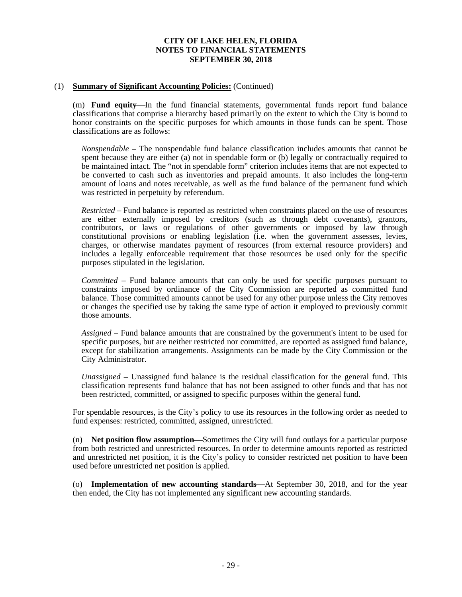## (1) **Summary of Significant Accounting Policies:** (Continued)

(m) **Fund equity—In** the fund financial statements, governmental funds report fund balance classifications that comprise a hierarchy based primarily on the extent to which the City is bound to honor constraints on the specific purposes for which amounts in those funds can be spent. Those classifications are as follows:

*Nonspendable* – The nonspendable fund balance classification includes amounts that cannot be spent because they are either (a) not in spendable form or (b) legally or contractually required to be maintained intact. The "not in spendable form" criterion includes items that are not expected to be converted to cash such as inventories and prepaid amounts. It also includes the long-term amount of loans and notes receivable, as well as the fund balance of the permanent fund which was restricted in perpetuity by referendum.

*Restricted* – Fund balance is reported as restricted when constraints placed on the use of resources are either externally imposed by creditors (such as through debt covenants), grantors, contributors, or laws or regulations of other governments or imposed by law through constitutional provisions or enabling legislation (i.e. when the government assesses, levies, charges, or otherwise mandates payment of resources (from external resource providers) and includes a legally enforceable requirement that those resources be used only for the specific purposes stipulated in the legislation.

*Committed* – Fund balance amounts that can only be used for specific purposes pursuant to constraints imposed by ordinance of the City Commission are reported as committed fund balance. Those committed amounts cannot be used for any other purpose unless the City removes or changes the specified use by taking the same type of action it employed to previously commit those amounts.

*Assigned* – Fund balance amounts that are constrained by the government's intent to be used for specific purposes, but are neither restricted nor committed, are reported as assigned fund balance, except for stabilization arrangements. Assignments can be made by the City Commission or the City Administrator.

*Unassigned* – Unassigned fund balance is the residual classification for the general fund. This classification represents fund balance that has not been assigned to other funds and that has not been restricted, committed, or assigned to specific purposes within the general fund.

For spendable resources, is the City's policy to use its resources in the following order as needed to fund expenses: restricted, committed, assigned, unrestricted.

 $(n)$  **Net position flow assumption—Sometimes the City will fund outlays for a particular purpose** from both restricted and unrestricted resources. In order to determine amounts reported as restricted and unrestricted net position, it is the City's policy to consider restricted net position to have been used before unrestricted net position is applied.

(o) **Implementation of new accounting standards**—At September 30, 2018, and for the year then ended, the City has not implemented any significant new accounting standards.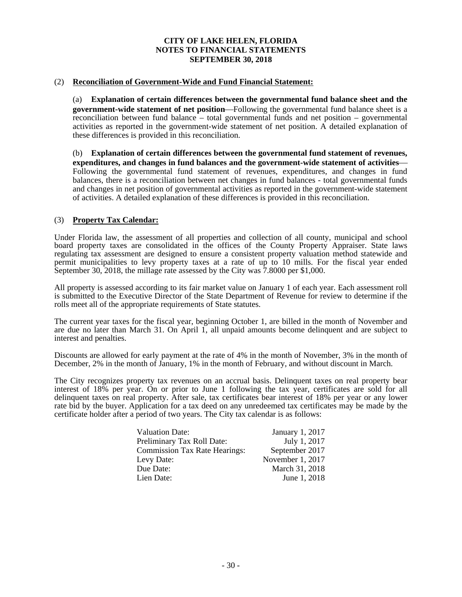# (2) **Reconciliation of Government-Wide and Fund Financial Statement:**

(a) **Explanation of certain differences between the governmental fund balance sheet and the government-wide statement of net position—Following the governmental fund balance sheet is a** reconciliation between fund balance – total governmental funds and net position – governmental activities as reported in the government-wide statement of net position. A detailed explanation of these differences is provided in this reconciliation.

(b) **Explanation of certain differences between the governmental fund statement of revenues, expenditures, and changes in fund balances and the government-wide statement of activities** Following the governmental fund statement of revenues, expenditures, and changes in fund balances, there is a reconciliation between net changes in fund balances - total governmental funds and changes in net position of governmental activities as reported in the government-wide statement of activities. A detailed explanation of these differences is provided in this reconciliation.

## (3) **Property Tax Calendar:**

Under Florida law, the assessment of all properties and collection of all county, municipal and school board property taxes are consolidated in the offices of the County Property Appraiser. State laws regulating tax assessment are designed to ensure a consistent property valuation method statewide and permit municipalities to levy property taxes at a rate of up to 10 mills. For the fiscal year ended September 30, 2018, the millage rate assessed by the City was 7.8000 per \$1,000.

All property is assessed according to its fair market value on January 1 of each year. Each assessment roll is submitted to the Executive Director of the State Department of Revenue for review to determine if the rolls meet all of the appropriate requirements of State statutes.

The current year taxes for the fiscal year, beginning October 1, are billed in the month of November and are due no later than March 31. On April 1, all unpaid amounts become delinquent and are subject to interest and penalties.

Discounts are allowed for early payment at the rate of 4% in the month of November, 3% in the month of December, 2% in the month of January, 1% in the month of February, and without discount in March.

The City recognizes property tax revenues on an accrual basis. Delinquent taxes on real property bear interest of 18% per year. On or prior to June 1 following the tax year, certificates are sold for all delinquent taxes on real property. After sale, tax certificates bear interest of 18% per year or any lower rate bid by the buyer. Application for a tax deed on any unredeemed tax certificates may be made by the certificate holder after a period of two years. The City tax calendar is as follows:

| <b>Valuation Date:</b>               | January 1, 2017  |
|--------------------------------------|------------------|
| Preliminary Tax Roll Date:           | July 1, 2017     |
| <b>Commission Tax Rate Hearings:</b> | September 2017   |
| Levy Date:                           | November 1, 2017 |
| Due Date:                            | March 31, 2018   |
| Lien Date:                           | June 1, 2018     |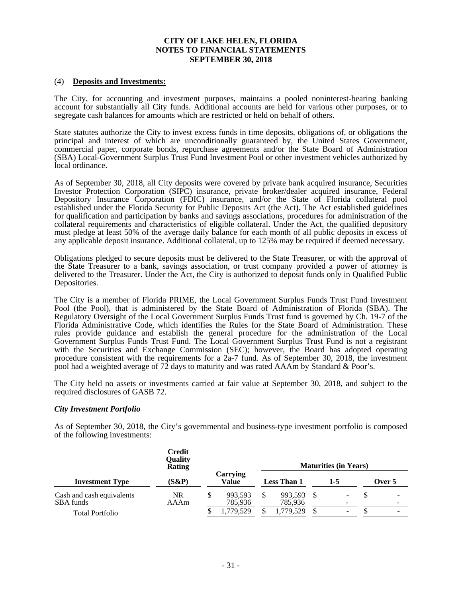### (4) **Deposits and Investments:**

The City, for accounting and investment purposes, maintains a pooled noninterest-bearing banking account for substantially all City funds. Additional accounts are held for various other purposes, or to segregate cash balances for amounts which are restricted or held on behalf of others.

State statutes authorize the City to invest excess funds in time deposits, obligations of, or obligations the principal and interest of which are unconditionally guaranteed by, the United States Government, commercial paper, corporate bonds, repurchase agreements and/or the State Board of Administration (SBA) Local-Government Surplus Trust Fund Investment Pool or other investment vehicles authorized by local ordinance.

As of September 30, 2018, all City deposits were covered by private bank acquired insurance, Securities Investor Protection Corporation (SIPC) insurance, private broker/dealer acquired insurance, Federal Depository Insurance Corporation (FDIC) insurance, and/or the State of Florida collateral pool established under the Florida Security for Public Deposits Act (the Act). The Act established guidelines for qualification and participation by banks and savings associations, procedures for administration of the collateral requirements and characteristics of eligible collateral. Under the Act, the qualified depository must pledge at least 50% of the average daily balance for each month of all public deposits in excess of any applicable deposit insurance. Additional collateral, up to 125% may be required if deemed necessary.

Obligations pledged to secure deposits must be delivered to the State Treasurer, or with the approval of the State Treasurer to a bank, savings association, or trust company provided a power of attorney is delivered to the Treasurer. Under the Act, the City is authorized to deposit funds only in Qualified Public Depositories.

The City is a member of Florida PRIME, the Local Government Surplus Funds Trust Fund Investment Pool (the Pool), that is administered by the State Board of Administration of Florida (SBA). The Regulatory Oversight of the Local Government Surplus Funds Trust fund is governed by Ch. 19-7 of the Florida Administrative Code, which identifies the Rules for the State Board of Administration. These rules provide guidance and establish the general procedure for the administration of the Local Government Surplus Funds Trust Fund. The Local Government Surplus Trust Fund is not a registrant with the Securities and Exchange Commission (SEC); however, the Board has adopted operating procedure consistent with the requirements for a 2a-7 fund. As of September 30, 2018, the investment pool had a weighted average of 72 days to maturity and was rated AAAm by Standard & Poor's.

The City held no assets or investments carried at fair value at September 30, 2018, and subject to the required disclosures of GASB 72.

### *City Investment Portfolio*

As of September 30, 2018, the City's governmental and business-type investment portfolio is composed of the following investments:

|                                        | <b>Credit</b><br>Quality<br>Rating |  |                          | <b>Maturities (in Years)</b> |                    |  |                               |  |                          |  |
|----------------------------------------|------------------------------------|--|--------------------------|------------------------------|--------------------|--|-------------------------------|--|--------------------------|--|
| <b>Investment Type</b>                 | (S&P)                              |  | Carrying<br><b>Value</b> |                              | <b>Less Than 1</b> |  | 1-5                           |  | Over 5                   |  |
| Cash and cash equivalents<br>SBA funds | NR<br>AAAm                         |  | 993,593<br>785,936       |                              | 993,593<br>785,936 |  | -<br>$\overline{\phantom{0}}$ |  | $\overline{\phantom{a}}$ |  |
| <b>Total Portfolio</b>                 |                                    |  | 1,779,529                |                              | 1,779,529          |  | -                             |  | $\overline{\phantom{a}}$ |  |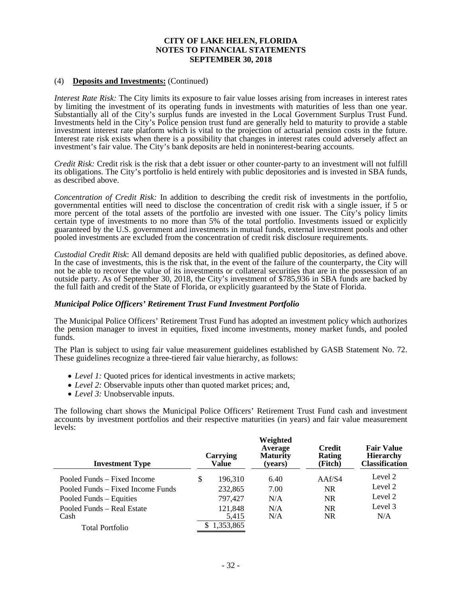## (4) **Deposits and Investments:** (Continued)

*Interest Rate Risk:* The City limits its exposure to fair value losses arising from increases in interest rates by limiting the investment of its operating funds in investments with maturities of less than one year. Substantially all of the City's surplus funds are invested in the Local Government Surplus Trust Fund. Investments held in the City's Police pension trust fund are generally held to maturity to provide a stable investment interest rate platform which is vital to the projection of actuarial pension costs in the future. Interest rate risk exists when there is a possibility that changes in interest rates could adversely affect an investment's fair value. The City's bank deposits are held in noninterest-bearing accounts.

*Credit Risk:* Credit risk is the risk that a debt issuer or other counter-party to an investment will not fulfill its obligations. The City's portfolio is held entirely with public depositories and is invested in SBA funds, as described above.

*Concentration of Credit Risk:* In addition to describing the credit risk of investments in the portfolio, governmental entities will need to disclose the concentration of credit risk with a single issuer, if 5 or more percent of the total assets of the portfolio are invested with one issuer. The City's policy limits certain type of investments to no more than 5% of the total portfolio. Investments issued or explicitly guaranteed by the U.S. government and investments in mutual funds, external investment pools and other pooled investments are excluded from the concentration of credit risk disclosure requirements.

*Custodial Credit Risk*: All demand deposits are held with qualified public depositories, as defined above. In the case of investments, this is the risk that, in the event of the failure of the counterparty, the City will not be able to recover the value of its investments or collateral securities that are in the possession of an outside party. As of September 30, 2018, the City's investment of \$785,936 in SBA funds are backed by the full faith and credit of the State of Florida, or explicitly guaranteed by the State of Florida.

### *Municipal Police Officers' Retirement Trust Fund Investment Portfolio*

The Municipal Police Officers' Retirement Trust Fund has adopted an investment policy which authorizes the pension manager to invest in equities, fixed income investments, money market funds, and pooled funds.

The Plan is subject to using fair value measurement guidelines established by GASB Statement No. 72. These guidelines recognize a three-tiered fair value hierarchy, as follows:

- *Level 1:* Quoted prices for identical investments in active markets;
- *Level 2:* Observable inputs other than quoted market prices; and,
- *Level 3:* Unobservable inputs.

The following chart shows the Municipal Police Officers' Retirement Trust Fund cash and investment accounts by investment portfolios and their respective maturities (in years) and fair value measurement levels:

| <b>Investment Type</b>            | Carrying<br>Value | Weighted<br>Average<br><b>Maturity</b><br>(years) | <b>Credit</b><br>Rating<br>(Fitch) | <b>Fair Value</b><br><b>Hierarchy</b><br><b>Classification</b> |
|-----------------------------------|-------------------|---------------------------------------------------|------------------------------------|----------------------------------------------------------------|
| Pooled Funds – Fixed Income       | \$<br>196,310     | 6.40                                              | AAf/S4                             | Level 2                                                        |
| Pooled Funds – Fixed Income Funds | 232,865           | 7.00                                              | <b>NR</b>                          | Level 2                                                        |
| Pooled Funds – Equities           | 797,427           | N/A                                               | <b>NR</b>                          | Level 2                                                        |
| Pooled Funds – Real Estate        | 121,848           | N/A                                               | <b>NR</b>                          | Level 3                                                        |
| Cash                              | 5,415             | N/A                                               | <b>NR</b>                          | N/A                                                            |
| Total Portfolio                   | 1,353,865         |                                                   |                                    |                                                                |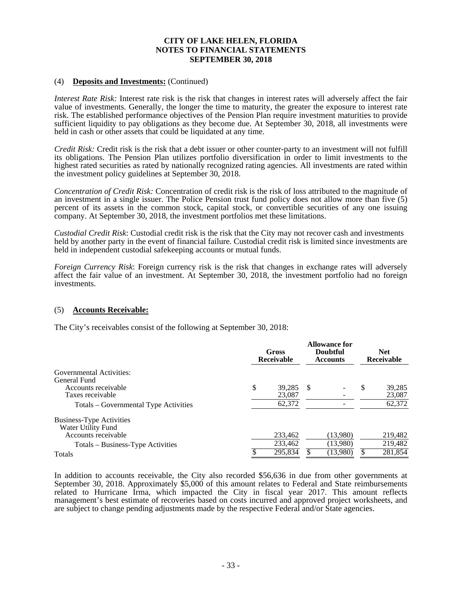## (4) **Deposits and Investments:** (Continued)

*Interest Rate Risk:* Interest rate risk is the risk that changes in interest rates will adversely affect the fair value of investments. Generally, the longer the time to maturity, the greater the exposure to interest rate risk. The established performance objectives of the Pension Plan require investment maturities to provide sufficient liquidity to pay obligations as they become due. At September 30, 2018, all investments were held in cash or other assets that could be liquidated at any time.

*Credit Risk:* Credit risk is the risk that a debt issuer or other counter-party to an investment will not fulfill its obligations. The Pension Plan utilizes portfolio diversification in order to limit investments to the highest rated securities as rated by nationally recognized rating agencies. All investments are rated within the investment policy guidelines at September 30, 2018.

*Concentration of Credit Risk:* Concentration of credit risk is the risk of loss attributed to the magnitude of an investment in a single issuer. The Police Pension trust fund policy does not allow more than five (5) percent of its assets in the common stock, capital stock, or convertible securities of any one issuing company. At September 30, 2018, the investment portfolios met these limitations.

*Custodial Credit Risk*: Custodial credit risk is the risk that the City may not recover cash and investments held by another party in the event of financial failure. Custodial credit risk is limited since investments are held in independent custodial safekeeping accounts or mutual funds.

*Foreign Currency Risk*: Foreign currency risk is the risk that changes in exchange rates will adversely affect the fair value of an investment. At September 30, 2018, the investment portfolio had no foreign investments.

### (5) **Accounts Receivable:**

The City's receivables consist of the following at September 30, 2018:

|                                                       | Gross<br>Receivable |    | <b>Allowance for</b><br><b>Doubtful</b><br><b>Accounts</b> |   | <b>Net</b><br>Receivable |
|-------------------------------------------------------|---------------------|----|------------------------------------------------------------|---|--------------------------|
| Governmental Activities:<br>General Fund              |                     |    |                                                            |   |                          |
| Accounts receivable                                   | \$<br>39.285        | -S |                                                            | S | 39,285                   |
| Taxes receivable                                      | 23,087              |    |                                                            |   | 23,087                   |
| Totals – Governmental Type Activities                 | 62,372              |    |                                                            |   | 62,372                   |
| <b>Business-Type Activities</b><br>Water Utility Fund |                     |    |                                                            |   |                          |
| Accounts receivable                                   | 233,462             |    | (13.980)                                                   |   | 219,482                  |
| Totals - Business-Type Activities                     | 233,462             |    | (13,980)                                                   |   | 219,482                  |
| <b>Totals</b>                                         | 295,834             |    | (13,980)                                                   |   | 281,854                  |

In addition to accounts receivable, the City also recorded \$56,636 in due from other governments at September 30, 2018. Approximately \$5,000 of this amount relates to Federal and State reimbursements related to Hurricane Irma, which impacted the City in fiscal year 2017. This amount reflects management's best estimate of recoveries based on costs incurred and approved project worksheets, and are subject to change pending adjustments made by the respective Federal and/or State agencies.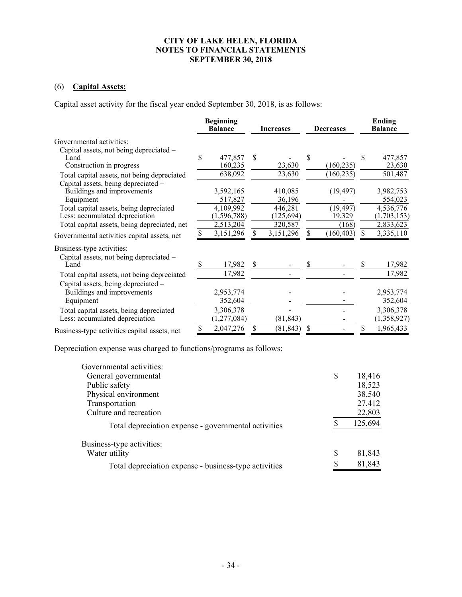# (6) **Capital Assets:**

Capital asset activity for the fiscal year ended September 30, 2018, is as follows:

|                                              | <b>Beginning</b><br><b>Balance</b> |               |               | <b>Increases</b><br><b>Decreases</b> |     | <b>Ending</b><br><b>Balance</b> |     |             |
|----------------------------------------------|------------------------------------|---------------|---------------|--------------------------------------|-----|---------------------------------|-----|-------------|
| Governmental activities:                     |                                    |               |               |                                      |     |                                 |     |             |
| Capital assets, not being depreciated -      |                                    |               |               |                                      |     |                                 |     |             |
| Land                                         | S                                  | 477,857       | \$            |                                      | S   |                                 | S   | 477,857     |
| Construction in progress                     |                                    | 160,235       |               | 23,630                               |     | (160, 235)                      |     | 23,630      |
| Total capital assets, not being depreciated  |                                    | 638,092       |               | 23,630                               |     | (160, 235)                      |     | 501,487     |
| Capital assets, being depreciated -          |                                    |               |               |                                      |     |                                 |     |             |
| Buildings and improvements                   |                                    | 3,592,165     |               | 410,085                              |     | (19, 497)                       |     | 3,982,753   |
| Equipment                                    |                                    | 517,827       |               | 36,196                               |     |                                 |     | 554,023     |
| Total capital assets, being depreciated      |                                    | 4,109,992     |               | 446,281                              |     | (19, 497)                       |     | 4,536,776   |
| Less: accumulated depreciation               |                                    | (1, 596, 788) |               | (125, 694)                           |     | 19,329                          |     | (1,703,153) |
| Total capital assets, being depreciated, net |                                    | 2,513,204     |               | 320,587                              |     | (168)                           |     | 2,833,623   |
| Governmental activities capital assets, net  | \$                                 | 3,151,296     | \$            | 3,151,296                            | S   | (160, 403)                      | \$. | 3,335,110   |
| Business-type activities:                    |                                    |               |               |                                      |     |                                 |     |             |
| Capital assets, not being depreciated -      |                                    |               |               |                                      |     |                                 |     |             |
| Land                                         | S                                  | 17,982        | <sup>\$</sup> |                                      | \$. |                                 |     | 17,982      |
| Total capital assets, not being depreciated  |                                    | 17,982        |               |                                      |     |                                 |     | 17,982      |
| Capital assets, being depreciated -          |                                    |               |               |                                      |     |                                 |     |             |
| Buildings and improvements                   |                                    | 2,953,774     |               |                                      |     |                                 |     | 2,953,774   |
| Equipment                                    |                                    | 352,604       |               |                                      |     |                                 |     | 352,604     |
| Total capital assets, being depreciated      |                                    | 3,306,378     |               |                                      |     |                                 |     | 3,306,378   |
| Less: accumulated depreciation               |                                    | (1,277,084)   |               | (81, 843)                            |     |                                 |     | (1,358,927) |
| Business-type activities capital assets, net | S                                  | 2,047,276     | \$            | (81, 843)                            | \$  |                                 | S   | 1,965,433   |

Depreciation expense was charged to functions/programs as follows:

| Governmental activities:                              |    |         |
|-------------------------------------------------------|----|---------|
| General governmental                                  | \$ | 18,416  |
| Public safety                                         |    | 18,523  |
| Physical environment                                  |    | 38,540  |
| Transportation                                        |    | 27,412  |
| Culture and recreation                                |    | 22,803  |
| Total depreciation expense - governmental activities  |    | 125,694 |
| Business-type activities:                             |    |         |
| Water utility                                         |    | 81,843  |
| Total depreciation expense - business-type activities | ¢  | 81,843  |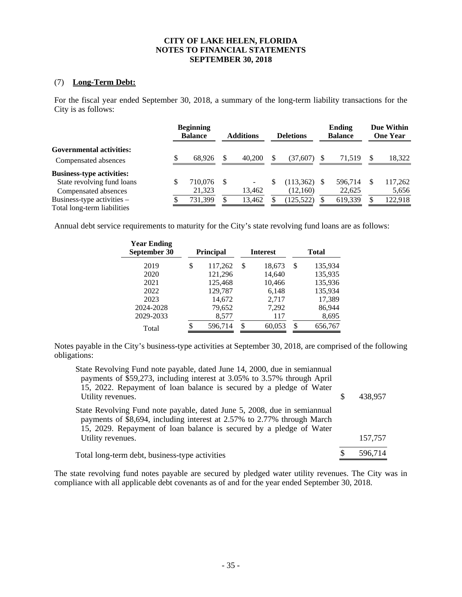# (7) **Long-Term Debt:**

For the fiscal year ended September 30, 2018, a summary of the long-term liability transactions for the City is as follows:

|                                  | <b>Beginning</b><br><b>Balance</b> |      | <b>Additions</b> |    | <b>Deletions</b> |     | <b>Ending</b><br><b>Balance</b> |   | Due Within<br><b>One Year</b> |
|----------------------------------|------------------------------------|------|------------------|----|------------------|-----|---------------------------------|---|-------------------------------|
| <b>Governmental activities:</b>  |                                    |      |                  |    |                  |     |                                 |   |                               |
| Compensated absences             | 68.926                             | \$.  | 40,200           | \$ | (37.607)         | S   | 71.519                          | S | 18,322                        |
| <b>Business-type activities:</b> |                                    |      |                  |    |                  |     |                                 |   |                               |
| State revolving fund loans       | 710,076                            | - \$ |                  | S  | (113, 362)       | \$. | 596.714                         | S | 117,262                       |
| Compensated absences             | 21,323                             |      | 13,462           |    | (12,160)         |     | 22,625                          |   | 5,656                         |
| Business-type activities –       | 731,399                            | \$   | 13,462           |    | (125, 522)       |     | 619,339                         | S | 122,918                       |
| Total long-term liabilities      |                                    |      |                  |    |                  |     |                                 |   |                               |

Annual debt service requirements to maturity for the City's state revolving fund loans are as follows:

| <b>Year Ending</b><br>September 30 | <b>Principal</b> | <b>Interest</b> | Total         |
|------------------------------------|------------------|-----------------|---------------|
| 2019                               | \$<br>117,262    | \$<br>18,673    | \$<br>135,934 |
| 2020                               | 121,296          | 14,640          | 135,935       |
| 2021                               | 125,468          | 10,466          | 135,936       |
| 2022                               | 129,787          | 6,148           | 135,934       |
| 2023                               | 14,672           | 2,717           | 17,389        |
| 2024-2028                          | 79,652           | 7,292           | 86,944        |
| 2029-2033                          | 8,577            | 117             | 8,695         |
| Total                              | \$<br>596,714    | \$<br>60,053    | \$<br>656,767 |

Notes payable in the City's business-type activities at September 30, 2018, are comprised of the following obligations:

| State Revolving Fund note payable, dated June 14, 2000, due in semiannual<br>payments of \$59,273, including interest at 3.05% to 3.57% through April<br>15, 2022. Repayment of loan balance is secured by a pledge of Water<br>Utility revenues. | S | 438,957 |
|---------------------------------------------------------------------------------------------------------------------------------------------------------------------------------------------------------------------------------------------------|---|---------|
| State Revolving Fund note payable, dated June 5, 2008, due in semiannual<br>payments of \$8,694, including interest at 2.57% to 2.77% through March<br>15, 2029. Repayment of loan balance is secured by a pledge of Water                        |   |         |
| Utility revenues.                                                                                                                                                                                                                                 |   | 157,757 |
| Total long-term debt, business-type activities                                                                                                                                                                                                    |   | 596,714 |

The state revolving fund notes payable are secured by pledged water utility revenues. The City was in compliance with all applicable debt covenants as of and for the year ended September 30, 2018.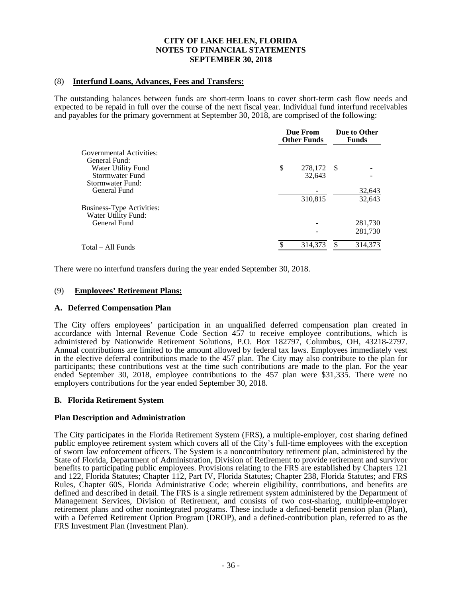## (8) **Interfund Loans, Advances, Fees and Transfers:**

The outstanding balances between funds are short-term loans to cover short-term cash flow needs and expected to be repaid in full over the course of the next fiscal year. Individual fund interfund receivables and payables for the primary government at September 30, 2018, are comprised of the following:

|                           | Due From<br><b>Other Funds</b> |      |         |  |
|---------------------------|--------------------------------|------|---------|--|
| Governmental Activities:  |                                |      |         |  |
| General Fund:             |                                |      |         |  |
| Water Utility Fund        | \$<br>278,172                  | - \$ |         |  |
| Stormwater Fund           | 32,643                         |      |         |  |
| Stormwater Fund:          |                                |      |         |  |
| General Fund              |                                |      | 32,643  |  |
|                           | 310,815                        |      | 32,643  |  |
| Business-Type Activities: |                                |      |         |  |
| Water Utility Fund:       |                                |      |         |  |
| General Fund              |                                |      | 281,730 |  |
|                           |                                |      | 281.730 |  |
| Total – All Funds         | 314.373                        |      | 314,373 |  |
|                           |                                |      |         |  |

There were no interfund transfers during the year ended September 30, 2018.

## (9) **Employees' Retirement Plans:**

### **A. Deferred Compensation Plan**

The City offers employees' participation in an unqualified deferred compensation plan created in accordance with Internal Revenue Code Section 457 to receive employee contributions, which is administered by Nationwide Retirement Solutions, P.O. Box 182797, Columbus, OH, 43218-2797. Annual contributions are limited to the amount allowed by federal tax laws. Employees immediately vest in the elective deferral contributions made to the 457 plan. The City may also contribute to the plan for participants; these contributions vest at the time such contributions are made to the plan. For the year ended September 30, 2018, employee contributions to the 457 plan were \$31,335. There were no employers contributions for the year ended September 30, 2018.

### **B. Florida Retirement System**

### **Plan Description and Administration**

The City participates in the Florida Retirement System (FRS), a multiple-employer, cost sharing defined public employee retirement system which covers all of the City's full-time employees with the exception of sworn law enforcement officers. The System is a noncontributory retirement plan, administered by the State of Florida, Department of Administration, Division of Retirement to provide retirement and survivor benefits to participating public employees. Provisions relating to the FRS are established by Chapters 121 and 122, Florida Statutes; Chapter 112, Part IV, Florida Statutes; Chapter 238, Florida Statutes; and FRS Rules, Chapter 60S, Florida Administrative Code; wherein eligibility, contributions, and benefits are defined and described in detail. The FRS is a single retirement system administered by the Department of Management Services, Division of Retirement, and consists of two cost-sharing, multiple-employer retirement plans and other nonintegrated programs. These include a defined-benefit pension plan (Plan), with a Deferred Retirement Option Program (DROP), and a defined-contribution plan, referred to as the FRS Investment Plan (Investment Plan).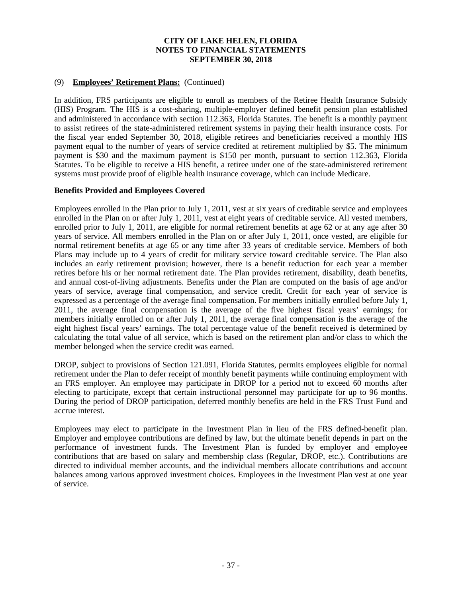# (9) **Employees' Retirement Plans:** (Continued)

In addition, FRS participants are eligible to enroll as members of the Retiree Health Insurance Subsidy (HIS) Program. The HIS is a cost-sharing, multiple-employer defined benefit pension plan established and administered in accordance with section 112.363, Florida Statutes. The benefit is a monthly payment to assist retirees of the state-administered retirement systems in paying their health insurance costs. For the fiscal year ended September 30, 2018, eligible retirees and beneficiaries received a monthly HIS payment equal to the number of years of service credited at retirement multiplied by \$5. The minimum payment is \$30 and the maximum payment is \$150 per month, pursuant to section 112.363, Florida Statutes. To be eligible to receive a HIS benefit, a retiree under one of the state-administered retirement systems must provide proof of eligible health insurance coverage, which can include Medicare.

# **Benefits Provided and Employees Covered**

Employees enrolled in the Plan prior to July 1, 2011, vest at six years of creditable service and employees enrolled in the Plan on or after July 1, 2011, vest at eight years of creditable service. All vested members, enrolled prior to July 1, 2011, are eligible for normal retirement benefits at age 62 or at any age after 30 years of service. All members enrolled in the Plan on or after July 1, 2011, once vested, are eligible for normal retirement benefits at age 65 or any time after 33 years of creditable service. Members of both Plans may include up to 4 years of credit for military service toward creditable service. The Plan also includes an early retirement provision; however, there is a benefit reduction for each year a member retires before his or her normal retirement date. The Plan provides retirement, disability, death benefits, and annual cost-of-living adjustments. Benefits under the Plan are computed on the basis of age and/or years of service, average final compensation, and service credit. Credit for each year of service is expressed as a percentage of the average final compensation. For members initially enrolled before July 1, 2011, the average final compensation is the average of the five highest fiscal years' earnings; for members initially enrolled on or after July 1, 2011, the average final compensation is the average of the eight highest fiscal years' earnings. The total percentage value of the benefit received is determined by calculating the total value of all service, which is based on the retirement plan and/or class to which the member belonged when the service credit was earned.

DROP, subject to provisions of Section 121.091, Florida Statutes, permits employees eligible for normal retirement under the Plan to defer receipt of monthly benefit payments while continuing employment with an FRS employer. An employee may participate in DROP for a period not to exceed 60 months after electing to participate, except that certain instructional personnel may participate for up to 96 months. During the period of DROP participation, deferred monthly benefits are held in the FRS Trust Fund and accrue interest.

Employees may elect to participate in the Investment Plan in lieu of the FRS defined-benefit plan. Employer and employee contributions are defined by law, but the ultimate benefit depends in part on the performance of investment funds. The Investment Plan is funded by employer and employee contributions that are based on salary and membership class (Regular, DROP, etc.). Contributions are directed to individual member accounts, and the individual members allocate contributions and account balances among various approved investment choices. Employees in the Investment Plan vest at one year of service.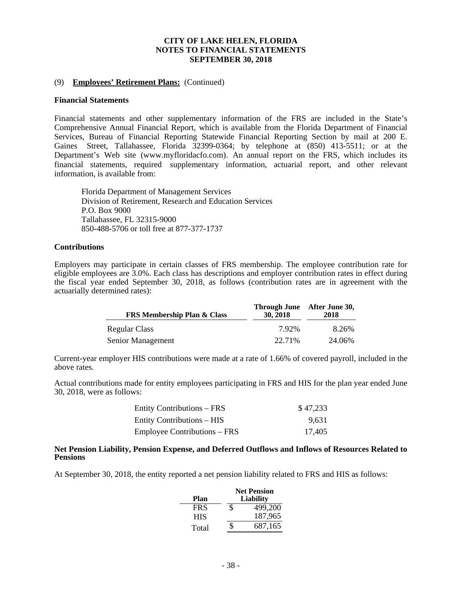## (9) **Employees' Retirement Plans:** (Continued)

## **Financial Statements**

Financial statements and other supplementary information of the FRS are included in the State's Comprehensive Annual Financial Report, which is available from the Florida Department of Financial Services, Bureau of Financial Reporting Statewide Financial Reporting Section by mail at 200 E. Gaines Street, Tallahassee, Florida 32399-0364; by telephone at (850) 413-5511; or at the Department's Web site (www.myfloridacfo.com). An annual report on the FRS, which includes its financial statements, required supplementary information, actuarial report, and other relevant information, is available from:

Florida Department of Management Services Division of Retirement, Research and Education Services P.O. Box 9000 Tallahassee, FL 32315-9000 850-488-5706 or toll free at 877-377-1737

## **Contributions**

Employers may participate in certain classes of FRS membership. The employee contribution rate for eligible employees are 3.0%. Each class has descriptions and employer contribution rates in effect during the fiscal year ended September 30, 2018, as follows (contribution rates are in agreement with the actuarially determined rates):

| <b>FRS Membership Plan &amp; Class</b> | 30, 2018 | Through June After June 30,<br>2018 |
|----------------------------------------|----------|-------------------------------------|
| Regular Class                          | 792%     | 8.26%                               |
| Senior Management                      | 22.71%   | 24.06%                              |

Current-year employer HIS contributions were made at a rate of 1.66% of covered payroll, included in the above rates.

Actual contributions made for entity employees participating in FRS and HIS for the plan year ended June 30, 2018, were as follows:

| <b>Entity Contributions – FRS</b>   | \$47,233 |
|-------------------------------------|----------|
| <b>Entity Contributions – HIS</b>   | 9.631    |
| <b>Employee Contributions – FRS</b> | 17.405   |

#### **Net Pension Liability, Pension Expense, and Deferred Outflows and Inflows of Resources Related to Pensions**

At September 30, 2018, the entity reported a net pension liability related to FRS and HIS as follows:

|            |   | <b>Net Pension</b> |
|------------|---|--------------------|
| Plan       |   | <b>Liability</b>   |
| <b>FRS</b> | S | 499,200            |
| <b>HIS</b> |   | 187,965            |
| Total      | Ж | 687,165            |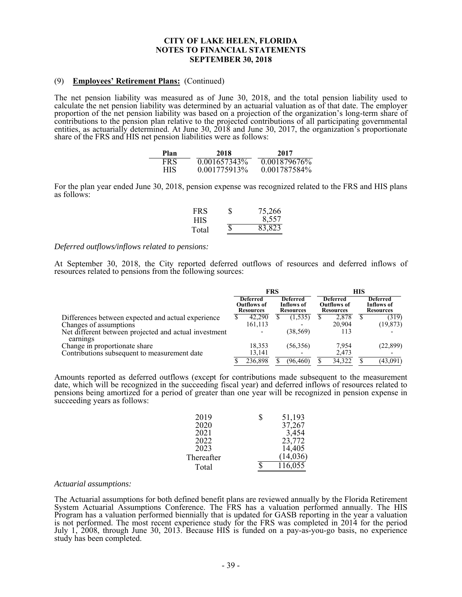## (9) **Employees' Retirement Plans:** (Continued)

The net pension liability was measured as of June 30, 2018, and the total pension liability used to calculate the net pension liability was determined by an actuarial valuation as of that date. The employer proportion of the net pension liability was based on a projection of the organization's long-term share of contributions to the pension plan relative to the projected contributions of all participating governmental entities, as actuarially determined. At June 30, 2018 and June 30, 2017, the organization's proportionate share of the FRS and HIS net pension liabilities were as follows:

| Plan       | 2018         | 2017         |
|------------|--------------|--------------|
| FR S       | 0.001657343% | 0.001879676% |
| <b>HIS</b> | 0.001775913% | 0.001787584% |

For the plan year ended June 30, 2018, pension expense was recognized related to the FRS and HIS plans as follows:

| <b>FRS</b> | S | 75,266 |
|------------|---|--------|
| <b>HIS</b> |   | 8,557  |
| Total      |   | 83,823 |

### *Deferred outflows/inflows related to pensions:*

At September 30, 2018, the City reported deferred outflows of resources and deferred inflows of resources related to pensions from the following sources:

|                                                                   | <b>FRS</b> |                                                    |  | НIS                                               |  |                                                           |  |                                                   |
|-------------------------------------------------------------------|------------|----------------------------------------------------|--|---------------------------------------------------|--|-----------------------------------------------------------|--|---------------------------------------------------|
|                                                                   |            | Deferred<br><b>Outflows of</b><br><b>Resources</b> |  | <b>Deferred</b><br>Inflows of<br><b>Resources</b> |  | <b>Deferred</b><br><b>Outflows of</b><br><b>Resources</b> |  | <b>Deferred</b><br>Inflows of<br><b>Resources</b> |
| Differences between expected and actual experience                | D          | 42,290                                             |  | 1,535                                             |  | 2,878                                                     |  | (319)                                             |
| Changes of assumptions                                            |            | 161,113                                            |  |                                                   |  | 20.904                                                    |  | (19, 873)                                         |
| Net different between projected and actual investment<br>earnings |            |                                                    |  | (38, 569)                                         |  | 113                                                       |  |                                                   |
| Change in proportionate share                                     |            | 18,353                                             |  | (56,356)                                          |  | 7,954                                                     |  | (22, 899)                                         |
| Contributions subsequent to measurement date                      |            | 13,141                                             |  |                                                   |  | 2,473                                                     |  |                                                   |
|                                                                   |            | 236,898                                            |  | (96,460)                                          |  | 34.322                                                    |  | (43,091)                                          |

Amounts reported as deferred outflows (except for contributions made subsequent to the measurement date, which will be recognized in the succeeding fiscal year) and deferred inflows of resources related to pensions being amortized for a period of greater than one year will be recognized in pension expense in succeeding years as follows:

| 2019       | S | 51,193   |
|------------|---|----------|
| 2020       |   | 37,267   |
| 2021       |   | 3,454    |
| 2022       |   | 23,772   |
| 2023       |   | 14,405   |
| Thereafter |   | (14,036) |
| Total      |   | 116,055  |

#### *Actuarial assumptions:*

The Actuarial assumptions for both defined benefit plans are reviewed annually by the Florida Retirement System Actuarial Assumptions Conference. The FRS has a valuation performed annually. The HIS Program has a valuation performed biennially that is updated for GASB reporting in the year a valuation is not performed. The most recent experience study for the FRS was completed in 2014 for the period July 1, 2008, through June 30, 2013. Because HIS is funded on a pay-as-you-go basis, no experience study has been completed.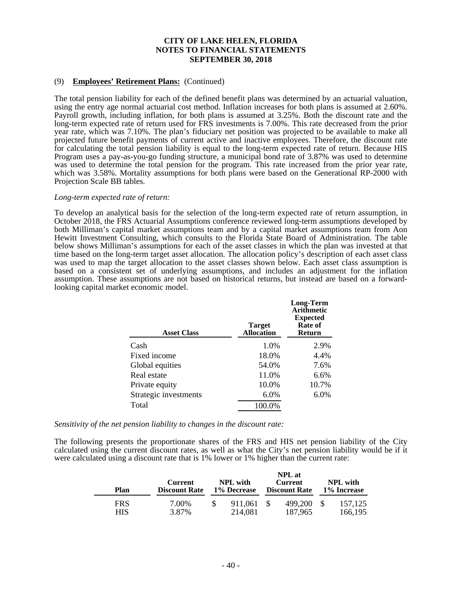# (9) **Employees' Retirement Plans:** (Continued)

The total pension liability for each of the defined benefit plans was determined by an actuarial valuation, using the entry age normal actuarial cost method. Inflation increases for both plans is assumed at 2.60%. Payroll growth, including inflation, for both plans is assumed at 3.25%. Both the discount rate and the long-term expected rate of return used for FRS investments is 7.00%. This rate decreased from the prior year rate, which was 7.10%. The plan's fiduciary net position was projected to be available to make all projected future benefit payments of current active and inactive employees. Therefore, the discount rate for calculating the total pension liability is equal to the long-term expected rate of return. Because HIS Program uses a pay-as-you-go funding structure, a municipal bond rate of 3.87% was used to determine was used to determine the total pension for the program. This rate increased from the prior year rate, which was 3.58%. Mortality assumptions for both plans were based on the Generational RP-2000 with Projection Scale BB tables.

#### *Long-term expected rate of return:*

To develop an analytical basis for the selection of the long-term expected rate of return assumption, in October 2018, the FRS Actuarial Assumptions conference reviewed long-term assumptions developed by both Milliman's capital market assumptions team and by a capital market assumptions team from Aon Hewitt Investment Consulting, which consults to the Florida State Board of Administration. The table below shows Milliman's assumptions for each of the asset classes in which the plan was invested at that time based on the long-term target asset allocation. The allocation policy's description of each asset class was used to map the target allocation to the asset classes shown below. Each asset class assumption is based on a consistent set of underlying assumptions, and includes an adjustment for the inflation assumption. These assumptions are not based on historical returns, but instead are based on a forwardlooking capital market economic model.

| <b>Target</b><br><b>Allocation</b> | <b>Long-Term</b><br><b>Arithmetic</b><br><b>Expected</b><br>Rate of<br>Return |
|------------------------------------|-------------------------------------------------------------------------------|
| 1.0%                               | 2.9%                                                                          |
| 18.0%                              | 4.4%                                                                          |
| 54.0%                              | 7.6%                                                                          |
| 11.0%                              | 6.6%                                                                          |
| 10.0%                              | 10.7%                                                                         |
| 6.0%                               | 6.0%                                                                          |
| 100.0%                             |                                                                               |
|                                    |                                                                               |

*Sensitivity of the net pension liability to changes in the discount rate:* 

The following presents the proportionate shares of the FRS and HIS net pension liability of the City calculated using the current discount rates, as well as what the City's net pension liability would be if it were calculated using a discount rate that is 1% lower or 1% higher than the current rate:

| Plan       | <b>Current</b><br><b>Discount Rate</b> | <b>NPL</b> with<br>1% Decrease |                    |    | <b>NPL</b> at<br><b>Current</b><br><b>Discount Rate</b> | <b>NPL</b> with<br>1% Increase |                    |  |
|------------|----------------------------------------|--------------------------------|--------------------|----|---------------------------------------------------------|--------------------------------|--------------------|--|
| FRS<br>HIS | 7.00%<br>3.87%                         |                                | 911.061<br>214,081 | -S | 499,200<br>187,965                                      |                                | 157,125<br>166,195 |  |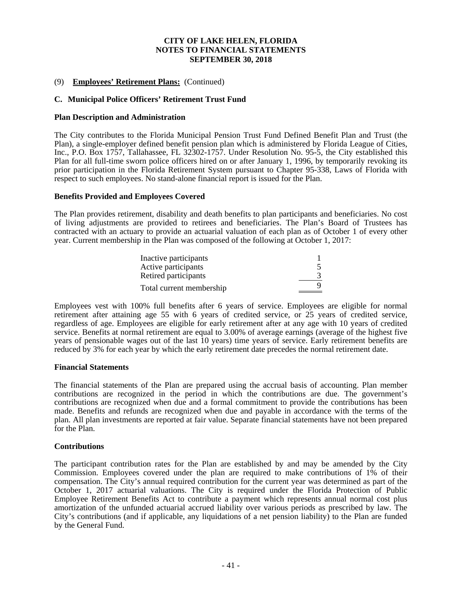# (9) **Employees' Retirement Plans:** (Continued)

# **C. Municipal Police Officers' Retirement Trust Fund**

### **Plan Description and Administration**

The City contributes to the Florida Municipal Pension Trust Fund Defined Benefit Plan and Trust (the Plan), a single-employer defined benefit pension plan which is administered by Florida League of Cities, Inc., P.O. Box 1757, Tallahassee, FL 32302-1757. Under Resolution No. 95-5, the City established this Plan for all full-time sworn police officers hired on or after January 1, 1996, by temporarily revoking its prior participation in the Florida Retirement System pursuant to Chapter 95-338, Laws of Florida with respect to such employees. No stand-alone financial report is issued for the Plan.

### **Benefits Provided and Employees Covered**

The Plan provides retirement, disability and death benefits to plan participants and beneficiaries. No cost of living adjustments are provided to retirees and beneficiaries. The Plan's Board of Trustees has contracted with an actuary to provide an actuarial valuation of each plan as of October 1 of every other year. Current membership in the Plan was composed of the following at October 1, 2017:

| Inactive participants    |  |
|--------------------------|--|
| Active participants      |  |
| Retired participants     |  |
| Total current membership |  |

Employees vest with 100% full benefits after 6 years of service. Employees are eligible for normal retirement after attaining age 55 with 6 years of credited service, or 25 years of credited service, regardless of age. Employees are eligible for early retirement after at any age with 10 years of credited service. Benefits at normal retirement are equal to 3.00% of average earnings (average of the highest five years of pensionable wages out of the last 10 years) time years of service. Early retirement benefits are reduced by 3% for each year by which the early retirement date precedes the normal retirement date.

### **Financial Statements**

The financial statements of the Plan are prepared using the accrual basis of accounting. Plan member contributions are recognized in the period in which the contributions are due. The government's contributions are recognized when due and a formal commitment to provide the contributions has been made. Benefits and refunds are recognized when due and payable in accordance with the terms of the plan. All plan investments are reported at fair value. Separate financial statements have not been prepared for the Plan.

### **Contributions**

The participant contribution rates for the Plan are established by and may be amended by the City Commission. Employees covered under the plan are required to make contributions of 1% of their compensation. The City's annual required contribution for the current year was determined as part of the October 1, 2017 actuarial valuations. The City is required under the Florida Protection of Public Employee Retirement Benefits Act to contribute a payment which represents annual normal cost plus amortization of the unfunded actuarial accrued liability over various periods as prescribed by law. The City's contributions (and if applicable, any liquidations of a net pension liability) to the Plan are funded by the General Fund.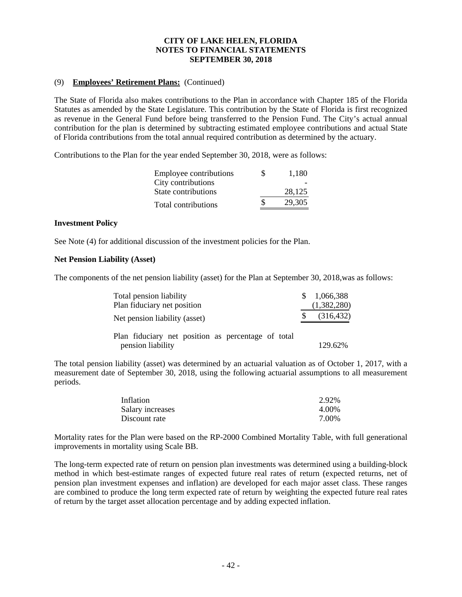# (9) **Employees' Retirement Plans:** (Continued)

The State of Florida also makes contributions to the Plan in accordance with Chapter 185 of the Florida Statutes as amended by the State Legislature. This contribution by the State of Florida is first recognized as revenue in the General Fund before being transferred to the Pension Fund. The City's actual annual contribution for the plan is determined by subtracting estimated employee contributions and actual State of Florida contributions from the total annual required contribution as determined by the actuary.

Contributions to the Plan for the year ended September 30, 2018, were as follows:

| Employee contributions | S  | 1,180  |
|------------------------|----|--------|
| City contributions     |    |        |
| State contributions    |    | 28,125 |
| Total contributions    | S. | 29,305 |
|                        |    |        |

## **Investment Policy**

See Note (4) for additional discussion of the investment policies for the Plan.

# **Net Pension Liability (Asset)**

The components of the net pension liability (asset) for the Plan at September 30, 2018,was as follows:

| Total pension liability<br>Plan fiduciary net position                  | \$1,066,388<br>(1,382,280) |
|-------------------------------------------------------------------------|----------------------------|
| Net pension liability (asset)                                           | (316, 432)                 |
| Plan fiduciary net position as percentage of total<br>pension liability | 129.62%                    |

The total pension liability (asset) was determined by an actuarial valuation as of October 1, 2017, with a measurement date of September 30, 2018, using the following actuarial assumptions to all measurement periods.

| Inflation        | 2.92% |
|------------------|-------|
| Salary increases | 4.00% |
| Discount rate    | 7.00% |

Mortality rates for the Plan were based on the RP-2000 Combined Mortality Table, with full generational improvements in mortality using Scale BB.

The long-term expected rate of return on pension plan investments was determined using a building-block method in which best-estimate ranges of expected future real rates of return (expected returns, net of pension plan investment expenses and inflation) are developed for each major asset class. These ranges are combined to produce the long term expected rate of return by weighting the expected future real rates of return by the target asset allocation percentage and by adding expected inflation.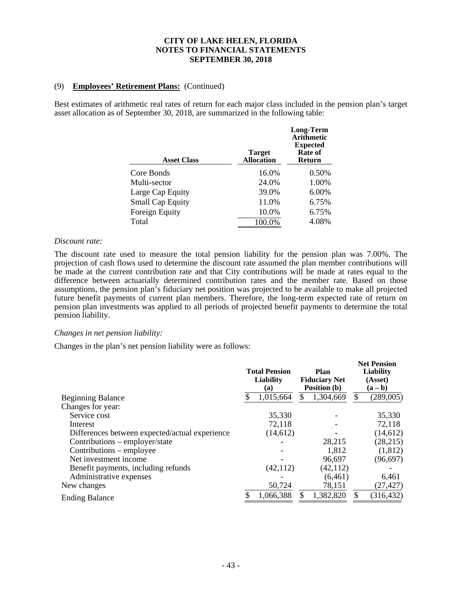# (9) **Employees' Retirement Plans:** (Continued)

Best estimates of arithmetic real rates of return for each major class included in the pension plan's target asset allocation as of September 30, 2018, are summarized in the following table:

| <b>Asset Class</b>      | <b>Target</b><br><b>Allocation</b> | <b>Long-Term</b><br><b>Arithmetic</b><br><b>Expected</b><br>Rate of<br>Return |
|-------------------------|------------------------------------|-------------------------------------------------------------------------------|
| Core Bonds              | 16.0%                              | 0.50%                                                                         |
| Multi-sector            | 24.0%                              | 1.00%                                                                         |
| Large Cap Equity        | 39.0%                              | 6.00%                                                                         |
| <b>Small Cap Equity</b> | 11.0%                              | 6.75%                                                                         |
| Foreign Equity          | 10.0%                              | 6.75%                                                                         |
| Total                   | 100.0%                             | 4.08%                                                                         |
|                         |                                    |                                                                               |

### *Discount rate:*

The discount rate used to measure the total pension liability for the pension plan was 7.00%. The projection of cash flows used to determine the discount rate assumed the plan member contributions will be made at the current contribution rate and that City contributions will be made at rates equal to the difference between actuarially determined contribution rates and the member rate. Based on those assumptions, the pension plan's fiduciary net position was projected to be available to make all projected future benefit payments of current plan members. Therefore, the long-term expected rate of return on pension plan investments was applied to all periods of projected benefit payments to determine the total pension liability.

## *Changes in net pension liability:*

Changes in the plan's net pension liability were as follows:

|                                                | <b>Total Pension</b><br><b>Liability</b><br>(a) |           | Plan<br><b>Fiduciary Net</b><br>Position (b) |           | <b>Net Pension</b><br><b>Liability</b><br>(Asset)<br>$(a - b)$ |            |  |
|------------------------------------------------|-------------------------------------------------|-----------|----------------------------------------------|-----------|----------------------------------------------------------------|------------|--|
| <b>Beginning Balance</b>                       |                                                 | 1,015,664 |                                              | 1,304,669 | \$                                                             | (289,005)  |  |
| Changes for year:                              |                                                 |           |                                              |           |                                                                |            |  |
| Service cost                                   |                                                 | 35,330    |                                              |           |                                                                | 35,330     |  |
| Interest                                       |                                                 | 72,118    |                                              |           |                                                                | 72,118     |  |
| Differences between expected/actual experience |                                                 | (14, 612) |                                              |           |                                                                | (14, 612)  |  |
| Contributions - employer/state                 |                                                 |           |                                              | 28,215    |                                                                | (28, 215)  |  |
| Contributions – employee                       |                                                 |           |                                              | 1,812     |                                                                | (1,812)    |  |
| Net investment income                          |                                                 |           |                                              | 96,697    |                                                                | (96, 697)  |  |
| Benefit payments, including refunds            |                                                 | (42, 112) |                                              | (42, 112) |                                                                |            |  |
| Administrative expenses                        |                                                 |           |                                              | (6, 461)  |                                                                | 6,461      |  |
| New changes                                    |                                                 | 50,724    |                                              | 78,151    |                                                                | (27,427)   |  |
| <b>Ending Balance</b>                          |                                                 | 1,066,388 |                                              | 1,382,820 | \$                                                             | (316, 432) |  |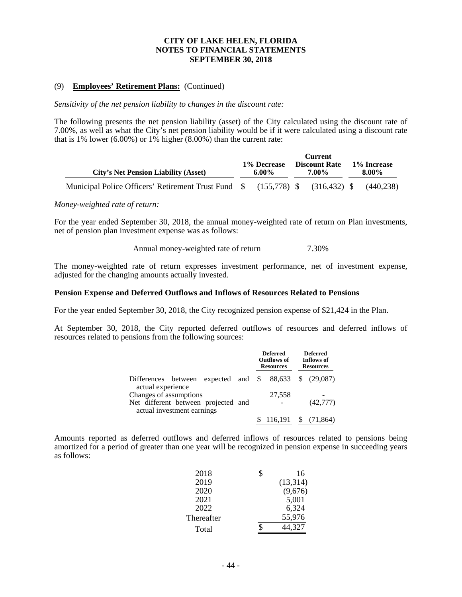## (9) **Employees' Retirement Plans:** (Continued)

*Sensitivity of the net pension liability to changes in the discount rate:* 

The following presents the net pension liability (asset) of the City calculated using the discount rate of 7.00%, as well as what the City's net pension liability would be if it were calculated using a discount rate that is 1% lower  $(6.00\%)$  or 1% higher  $(8.00\%)$  than the current rate:

| <b>City's Net Pension Liability (Asset)</b>                                   | <b>Current</b><br><b>Discount Rate</b><br>1% Decrease<br>7.00%<br>6.00% |  | 1% Increase<br>8.00% |  |  |           |
|-------------------------------------------------------------------------------|-------------------------------------------------------------------------|--|----------------------|--|--|-----------|
| Municipal Police Officers' Retirement Trust Fund \$ (155,778) \$ (316,432) \$ |                                                                         |  |                      |  |  | (440.238) |

## *Money-weighted rate of return:*

For the year ended September 30, 2018, the annual money-weighted rate of return on Plan investments, net of pension plan investment expense was as follows:

Annual money-weighted rate of return 7.30%

The money-weighted rate of return expresses investment performance, net of investment expense, adjusted for the changing amounts actually invested.

## **Pension Expense and Deferred Outflows and Inflows of Resources Related to Pensions**

For the year ended September 30, 2018, the City recognized pension expense of \$21,424 in the Plan.

At September 30, 2018, the City reported deferred outflows of resources and deferred inflows of resources related to pensions from the following sources:

|                                                                                                     | <b>Deferred</b><br>Outflows of<br><b>Resources</b> |           | <b>Deferred</b><br>Inflows of<br><b>Resources</b> |
|-----------------------------------------------------------------------------------------------------|----------------------------------------------------|-----------|---------------------------------------------------|
| Differences between expected and $\frac{1}{2}$ 88,633 \ $\frac{1}{2}$ (29,087)<br>actual experience |                                                    |           |                                                   |
| Changes of assumptions                                                                              |                                                    | 27,558    |                                                   |
| Net different between projected and<br>actual investment earnings                                   |                                                    |           | (42,777)                                          |
|                                                                                                     |                                                    | \$116.191 |                                                   |

Amounts reported as deferred outflows and deferred inflows of resources related to pensions being amortized for a period of greater than one year will be recognized in pension expense in succeeding years as follows:

| 2018       | 16        |
|------------|-----------|
| 2019       | (13, 314) |
| 2020       | (9,676)   |
| 2021       | 5,001     |
| 2022       | 6,324     |
| Thereafter | 55,976    |
| Total      | 44,327    |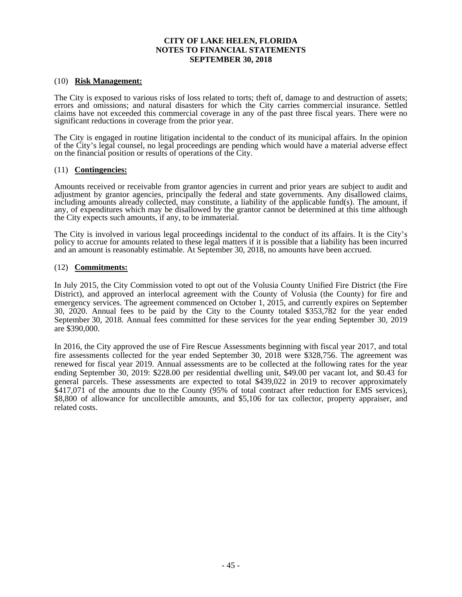## (10) **Risk Management:**

The City is exposed to various risks of loss related to torts; theft of, damage to and destruction of assets; errors and omissions; and natural disasters for which the City carries commercial insurance. Settled claims have not exceeded this commercial coverage in any of the past three fiscal years. There were no significant reductions in coverage from the prior year.

The City is engaged in routine litigation incidental to the conduct of its municipal affairs. In the opinion of the City's legal counsel, no legal proceedings are pending which would have a material adverse effect on the financial position or results of operations of the City.

## (11) **Contingencies:**

Amounts received or receivable from grantor agencies in current and prior years are subject to audit and adjustment by grantor agencies, principally the federal and state governments. Any disallowed claims, including amounts already collected, may constitute, a liability of the applicable fund(s). The amount, if any, of expenditures which may be disallowed by the grantor cannot be determined at this time although the City expects such amounts, if any, to be immaterial.

The City is involved in various legal proceedings incidental to the conduct of its affairs. It is the City's policy to accrue for amounts related to these legal matters if it is possible that a liability has been incurred and an amount is reasonably estimable. At September 30, 2018, no amounts have been accrued.

## (12) **Commitments:**

In July 2015, the City Commission voted to opt out of the Volusia County Unified Fire District (the Fire District), and approved an interlocal agreement with the County of Volusia (the County) for fire and emergency services. The agreement commenced on October 1, 2015, and currently expires on September 30, 2020. Annual fees to be paid by the City to the County totaled \$353,782 for the year ended September 30, 2018. Annual fees committed for these services for the year ending September 30, 2019 are \$390,000.

In 2016, the City approved the use of Fire Rescue Assessments beginning with fiscal year 2017, and total fire assessments collected for the year ended September 30, 2018 were \$328,756. The agreement was renewed for fiscal year 2019. Annual assessments are to be collected at the following rates for the year ending September 30, 2019: \$228.00 per residential dwelling unit, \$49.00 per vacant lot, and \$0.43 for general parcels. These assessments are expected to total \$439,022 in 2019 to recover approximately \$417,071 of the amounts due to the County (95% of total contract after reduction for EMS services), \$8,800 of allowance for uncollectible amounts, and \$5,106 for tax collector, property appraiser, and related costs.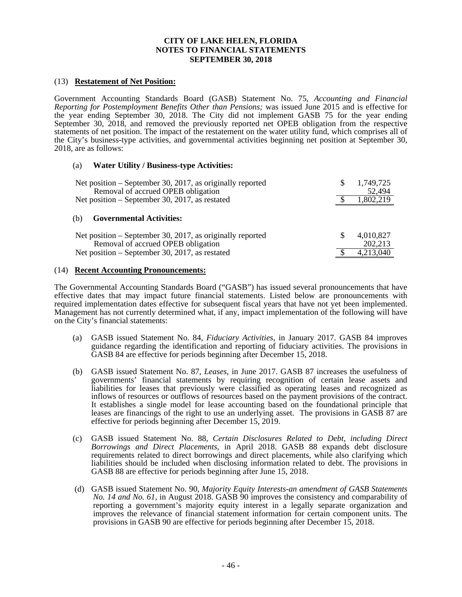## (13) **Restatement of Net Position:**

Government Accounting Standards Board (GASB) Statement No. 75, *Accounting and Financial Reporting for Postemployment Benefits Other than Pensions;* was issued June 2015 and is effective for the year ending September 30, 2018. The City did not implement GASB 75 for the year ending September 30, 2018, and removed the previously reported net OPEB obligation from the respective statements of net position. The impact of the restatement on the water utility fund, which comprises all of the City's business-type activities, and governmental activities beginning net position at September 30, 2018, are as follows:

## (a) **Water Utility / Business-type Activities:**

| Net position – September 30, 2017, as originally reported<br>Removal of accrued OPEB obligation | 1,749,725<br>52,494  |
|-------------------------------------------------------------------------------------------------|----------------------|
| Net position – September 30, 2017, as restated                                                  | 1,802,219            |
| <b>Governmental Activities:</b><br>(b)                                                          |                      |
| Net position – September 30, 2017, as originally reported<br>Removal of accrued OPEB obligation | 4,010,827<br>202,213 |
| Net position – September 30, 2017, as restated                                                  | 4,213,040            |

### (14) **Recent Accounting Pronouncements:**

The Governmental Accounting Standards Board ("GASB") has issued several pronouncements that have effective dates that may impact future financial statements. Listed below are pronouncements with required implementation dates effective for subsequent fiscal years that have not yet been implemented. Management has not currently determined what, if any, impact implementation of the following will have on the City's financial statements:

- (a) GASB issued Statement No. 84, *Fiduciary Activities*, in January 2017. GASB 84 improves guidance regarding the identification and reporting of fiduciary activities. The provisions in GASB 84 are effective for periods beginning after December 15, 2018.
- (b) GASB issued Statement No. 87, *Leases*, in June 2017. GASB 87 increases the usefulness of governments' financial statements by requiring recognition of certain lease assets and liabilities for leases that previously were classified as operating leases and recognized as inflows of resources or outflows of resources based on the payment provisions of the contract. It establishes a single model for lease accounting based on the foundational principle that leases are financings of the right to use an underlying asset. The provisions in GASB 87 are effective for periods beginning after December 15, 2019.
- (c) GASB issued Statement No. 88, *Certain Disclosures Related to Debt, including Direct Borrowings and Direct Placements*, in April 2018. GASB 88 expands debt disclosure requirements related to direct borrowings and direct placements, while also clarifying which liabilities should be included when disclosing information related to debt. The provisions in GASB 88 are effective for periods beginning after June 15, 2018.
- (d) GASB issued Statement No. 90, *Majority Equity Interests-an amendment of GASB Statements No. 14 and No. 61*, in August 2018. GASB 90 improves the consistency and comparability of reporting a government's majority equity interest in a legally separate organization and improves the relevance of financial statement information for certain component units. The provisions in GASB 90 are effective for periods beginning after December 15, 2018.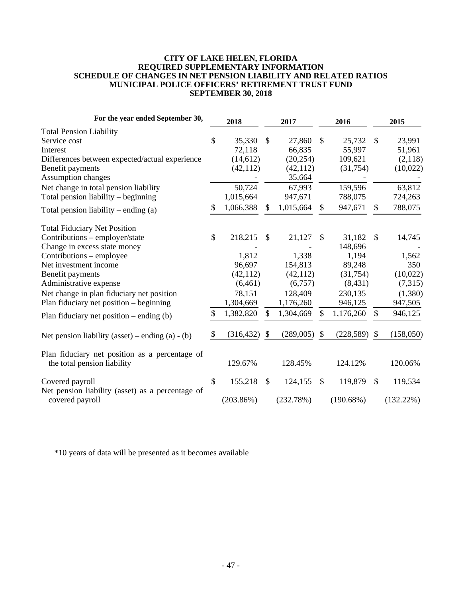## **CITY OF LAKE HELEN, FLORIDA REQUIRED SUPPLEMENTARY INFORMATION SCHEDULE OF CHANGES IN NET PENSION LIABILITY AND RELATED RATIOS MUNICIPAL POLICE OFFICERS' RETIREMENT TRUST FUND SEPTEMBER 30, 2018**

| For the year ended September 30,                                              | 2018          |            |               | 2017      |               | 2016       |               | 2015         |
|-------------------------------------------------------------------------------|---------------|------------|---------------|-----------|---------------|------------|---------------|--------------|
| <b>Total Pension Liability</b>                                                |               |            |               |           |               |            |               |              |
| Service cost                                                                  | \$            | 35,330     | $\mathcal{S}$ | 27,860    | $\mathcal{S}$ | 25,732     | \$            | 23,991       |
| Interest                                                                      |               | 72,118     |               | 66,835    |               | 55,997     |               | 51,961       |
| Differences between expected/actual experience                                |               | (14,612)   |               | (20, 254) |               | 109,621    |               | (2,118)      |
| Benefit payments                                                              |               | (42, 112)  |               | (42, 112) |               | (31,754)   |               | (10,022)     |
| <b>Assumption changes</b>                                                     |               |            |               | 35,664    |               |            |               |              |
| Net change in total pension liability                                         |               | 50,724     |               | 67,993    |               | 159,596    |               | 63,812       |
| Total pension liability – beginning                                           |               | 1,015,664  |               | 947,671   |               | 788,075    |               | 724,263      |
| Total pension liability – ending $(a)$                                        | \$.           | 1,066,388  | \$            | 1,015,664 | $\mathcal{S}$ | 947,671    | \$            | 788,075      |
| <b>Total Fiduciary Net Position</b>                                           |               |            |               |           |               |            |               |              |
| Contributions - employer/state                                                | $\mathcal{S}$ | 218,215    | \$            | 21,127    | S             | 31,182     | <sup>\$</sup> | 14,745       |
| Change in excess state money                                                  |               |            |               |           |               | 148,696    |               |              |
| Contributions – employee                                                      |               | 1,812      |               | 1,338     |               | 1,194      |               | 1,562        |
| Net investment income                                                         |               | 96,697     |               | 154,813   |               | 89,248     |               | 350          |
| Benefit payments                                                              |               | (42, 112)  |               | (42, 112) |               | (31,754)   |               | (10,022)     |
| Administrative expense                                                        |               | (6,461)    |               | (6,757)   |               | (8, 431)   |               | (7,315)      |
| Net change in plan fiduciary net position                                     |               | 78,151     |               | 128,409   |               | 230,135    |               | (1,380)      |
| Plan fiduciary net position – beginning                                       |               | 1,304,669  |               | 1,176,260 |               | 946,125    |               | 947,505      |
| Plan fiduciary net position $-$ ending (b)                                    | \$            | 1,382,820  | $\mathcal{S}$ | 1,304,669 | \$            | 1,176,260  | $\mathcal{S}$ | 946,125      |
| Net pension liability (asset) – ending (a) - (b)                              | S.            | (316, 432) | \$            | (289,005) | <sup>\$</sup> | (228, 589) | \$            | (158,050)    |
| Plan fiduciary net position as a percentage of<br>the total pension liability |               | 129.67%    |               | 128.45%   |               | 124.12%    |               | 120.06%      |
| Covered payroll<br>Net pension liability (asset) as a percentage of           | $\mathcal{S}$ | 155,218    | $\mathcal{S}$ | 124,155   | $\mathcal{S}$ | 119,879    | $\mathcal{S}$ | 119,534      |
| covered payroll                                                               |               | (203.86%)  |               | (232.78%) |               | (190.68%)  |               | $(132.22\%)$ |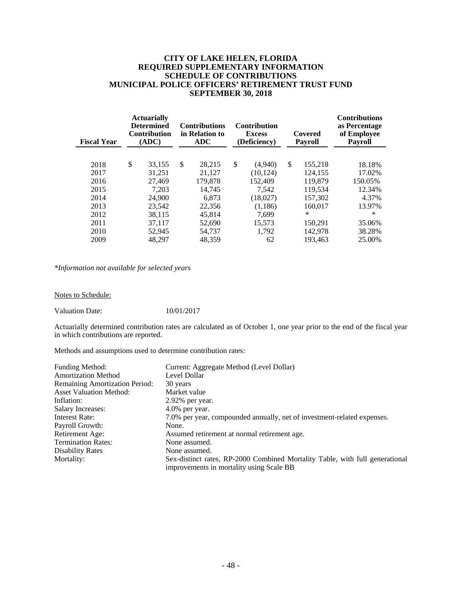## **CITY OF LAKE HELEN, FLORIDA REQUIRED SUPPLEMENTARY INFORMATION SCHEDULE OF CONTRIBUTIONS MUNICIPAL POLICE OFFICERS' RETIREMENT TRUST FUND SEPTEMBER 30, 2018**

| <b>Fiscal Year</b> | <b>Actuarially</b><br><b>Determined</b><br><b>Contribution</b><br>(ADC) | <b>Contributions</b><br>in Relation to<br><b>ADC</b> | <b>Contribution</b><br><b>Excess</b><br>(Deficiency) | Covered<br><b>Payroll</b> | <b>Contributions</b><br>as Percentage<br>of Employee<br><b>Payroll</b> |
|--------------------|-------------------------------------------------------------------------|------------------------------------------------------|------------------------------------------------------|---------------------------|------------------------------------------------------------------------|
|                    |                                                                         |                                                      |                                                      |                           |                                                                        |
| 2018               | \$<br>33,155                                                            | \$<br>28,215                                         | \$<br>(4,940)                                        | \$<br>155,218             | 18.18%                                                                 |
| 2017               | 31.251                                                                  | 21.127                                               | (10.124)                                             | 124,155                   | 17.02%                                                                 |
| 2016               | 27,469                                                                  | 179,878                                              | 152.409                                              | 119,879                   | 150.05%                                                                |
| 2015               | 7.203                                                                   | 14.745                                               | 7.542                                                | 119.534                   | 12.34%                                                                 |
| 2014               | 24,900                                                                  | 6.873                                                | (18,027)                                             | 157,302                   | 4.37%                                                                  |
| 2013               | 23,542                                                                  | 22,356                                               | (1,186)                                              | 160.017                   | 13.97%                                                                 |
| 2012               | 38.115                                                                  | 45.814                                               | 7.699                                                | ∗                         | ∗                                                                      |
| 2011               | 37.117                                                                  | 52,690                                               | 15,573                                               | 150,291                   | 35.06%                                                                 |
| 2010               | 52,945                                                                  | 54,737                                               | 1,792                                                | 142,978                   | 38.28%                                                                 |
| 2009               | 48,297                                                                  | 48,359                                               | 62                                                   | 193.463                   | 25.00%                                                                 |

*\*Information not available for selected years* 

Notes to Schedule:

Valuation Date: 10/01/2017

Actuarially determined contribution rates are calculated as of October 1, one year prior to the end of the fiscal year in which contributions are reported.

Methods and assumptions used to determine contribution rates:

| Funding Method:                | Current: Aggregate Method (Level Dollar)                                                                                 |
|--------------------------------|--------------------------------------------------------------------------------------------------------------------------|
| <b>Amortization Method</b>     | Level Dollar                                                                                                             |
| Remaining Amortization Period: | 30 years                                                                                                                 |
| <b>Asset Valuation Method:</b> | Market value                                                                                                             |
| Inflation:                     | $2.92\%$ per year.                                                                                                       |
| <b>Salary Increases:</b>       | $4.0\%$ per year.                                                                                                        |
| Interest Rate:                 | 7.0% per year, compounded annually, net of investment-related expenses.                                                  |
| Payroll Growth:                | None.                                                                                                                    |
| Retirement Age:                | Assumed retirement at normal retirement age.                                                                             |
| <b>Termination Rates:</b>      | None assumed.                                                                                                            |
| <b>Disability Rates</b>        | None assumed.                                                                                                            |
| Mortality:                     | Sex-distinct rates, RP-2000 Combined Mortality Table, with full generational<br>improvements in mortality using Scale BB |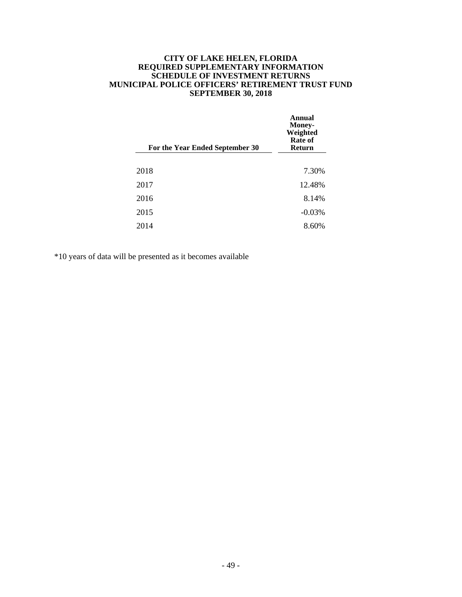## **CITY OF LAKE HELEN, FLORIDA REQUIRED SUPPLEMENTARY INFORMATION SCHEDULE OF INVESTMENT RETURNS MUNICIPAL POLICE OFFICERS' RETIREMENT TRUST FUND SEPTEMBER 30, 2018**

| For the Year Ended September 30 | Annual<br><b>Money-</b><br>Weighted<br>Rate of<br><b>Return</b> |
|---------------------------------|-----------------------------------------------------------------|
|                                 |                                                                 |
| 2018                            | 7.30%                                                           |
| 2017                            | 12.48%                                                          |
| 2016                            | 8.14%                                                           |
| 2015                            | $-0.03%$                                                        |
| 2014                            | 8.60%                                                           |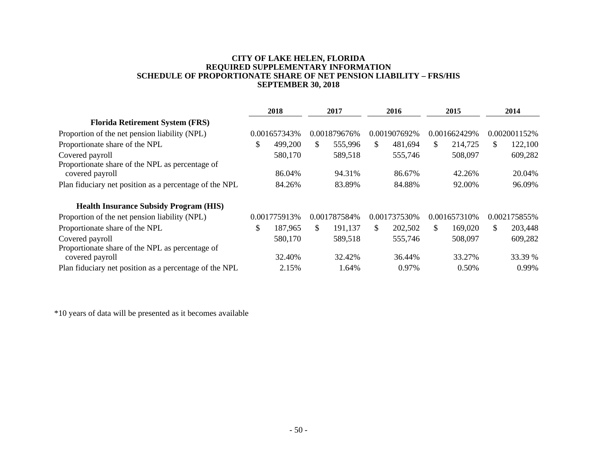## **CITY OF LAKE HELEN, FLORIDA REQUIRED SUPPLEMENTARY INFORMATION SCHEDULE OF PROPORTIONATE SHARE OF NET PENSION LIABILITY – FRS/HIS SEPTEMBER 30, 2018**

|                                                                                                                              | 2018 |                 | 2017            | 2016 |                 | 2015 |                 | 2014          |                  |
|------------------------------------------------------------------------------------------------------------------------------|------|-----------------|-----------------|------|-----------------|------|-----------------|---------------|------------------|
| <b>Florida Retirement System (FRS)</b>                                                                                       |      |                 |                 |      |                 |      |                 |               |                  |
| Proportion of the net pension liability (NPL)                                                                                |      | 0.001657343%    | 0.001879676%    |      | 0.001907692%    |      | 0.001662429%    |               | 0.002001152\%    |
| Proportionate share of the NPL                                                                                               | S.   | 499,200         | \$<br>555,996   | \$.  | 481,694         | \$.  | 214,725         | <sup>\$</sup> | 122,100          |
| Covered payroll                                                                                                              |      | 580,170         | 589,518         |      | 555,746         |      | 508,097         |               | 609,282          |
| Proportionate share of the NPL as percentage of<br>covered payroll                                                           |      | 86.04%          | 94.31%          |      | 86.67%          |      | 42.26%          |               | 20.04%           |
| Plan fiduciary net position as a percentage of the NPL                                                                       |      | 84.26%          | 83.89%          |      | 84.88%          |      | 92.00%          |               | 96.09%           |
| <b>Health Insurance Subsidy Program (HIS)</b>                                                                                |      |                 |                 |      |                 |      |                 |               |                  |
| Proportion of the net pension liability (NPL)                                                                                |      | 0.001775913%    | 0.001787584%    |      | 0.001737530\%   |      | 0.001657310\%   |               | 0.002175855%     |
| Proportionate share of the NPL                                                                                               | \$   | 187,965         | \$<br>191.137   | \$.  | 202,502         | \$.  | 169,020         | \$            | 203,448          |
| Covered payroll                                                                                                              |      | 580,170         | 589,518         |      | 555,746         |      | 508,097         |               | 609,282          |
| Proportionate share of the NPL as percentage of<br>covered payroll<br>Plan fiduciary net position as a percentage of the NPL |      | 32.40%<br>2.15% | 32.42%<br>1.64% |      | 36.44%<br>0.97% |      | 33.27%<br>0.50% |               | 33.39 %<br>0.99% |
|                                                                                                                              |      |                 |                 |      |                 |      |                 |               |                  |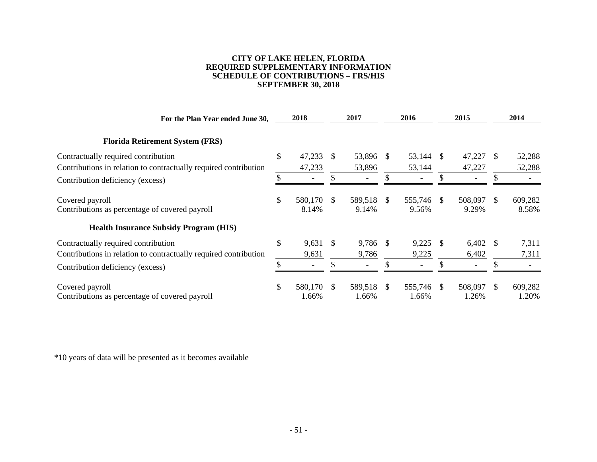## **CITY OF LAKE HELEN, FLORIDA REQUIRED SUPPLEMENTARY INFORMATION SCHEDULE OF CONTRIBUTIONS – FRS/HIS SEPTEMBER 30, 2018**

| For the Plan Year ended June 30,                                  | 2018                      |              | 2017             |               | 2016             |               | 2015             |               | 2014             |
|-------------------------------------------------------------------|---------------------------|--------------|------------------|---------------|------------------|---------------|------------------|---------------|------------------|
| <b>Florida Retirement System (FRS)</b>                            |                           |              |                  |               |                  |               |                  |               |                  |
| Contractually required contribution                               | \$<br>47,233              | <sup>S</sup> | 53,896           | <sup>\$</sup> | 53,144           | <sup>\$</sup> | 47,227           | <sup>\$</sup> | 52,288           |
| Contributions in relation to contractually required contribution  | 47,233                    |              | 53,896           |               | 53,144           |               | 47,227           |               | 52,288           |
| Contribution deficiency (excess)                                  |                           |              |                  |               |                  |               |                  |               |                  |
| Covered payroll<br>Contributions as percentage of covered payroll | \$<br>580,170 \$<br>8.14% |              | 589,518<br>9.14% | <sup>\$</sup> | 555,746<br>9.56% | <sup>\$</sup> | 508,097<br>9.29% | -S            | 609,282<br>8.58% |
| <b>Health Insurance Subsidy Program (HIS)</b>                     |                           |              |                  |               |                  |               |                  |               |                  |
| Contractually required contribution                               | \$<br>9,631               | - \$         | 9,786 \$         |               | 9,225            | £.            | $6,402$ \$       |               | 7,311            |
| Contributions in relation to contractually required contribution  | 9,631                     |              | 9,786            |               | 9,225            |               | 6,402            |               | 7,311            |
| Contribution deficiency (excess)                                  | \$                        |              |                  |               |                  |               |                  | \$.           |                  |
| Covered payroll<br>Contributions as percentage of covered payroll | \$<br>580,170 \$<br>1.66% |              | 589,518<br>1.66% | S.            | 555,746<br>1.66% | <sup>\$</sup> | 508,097<br>1.26% | <sup>\$</sup> | 609,282<br>1.20% |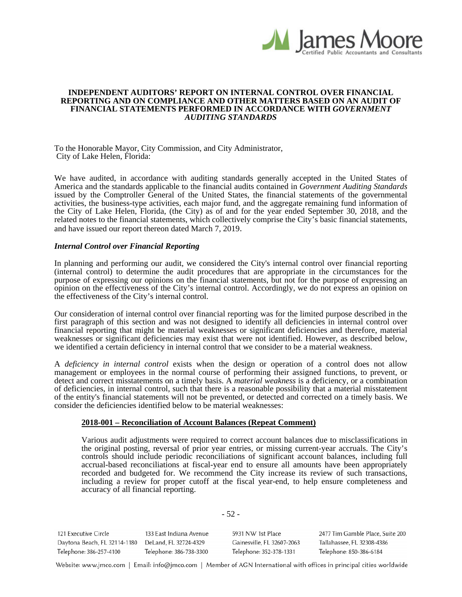

#### **INDEPENDENT AUDITORS' REPORT ON INTERNAL CONTROL OVER FINANCIAL REPORTING AND ON COMPLIANCE AND OTHER MATTERS BASED ON AN AUDIT OF FINANCIAL STATEMENTS PERFORMED IN ACCORDANCE WITH** *GOVERNMENT AUDITING STANDARDS*

To the Honorable Mayor, City Commission, and City Administrator, City of Lake Helen, Florida:

We have audited, in accordance with auditing standards generally accepted in the United States of America and the standards applicable to the financial audits contained in *Government Auditing Standards* issued by the Comptroller General of the United States, the financial statements of the governmental activities, the business-type activities, each major fund, and the aggregate remaining fund information of the City of Lake Helen, Florida, (the City) as of and for the year ended September 30, 2018, and the related notes to the financial statements, which collectively comprise the City's basic financial statements, and have issued our report thereon dated March 7, 2019.

### *Internal Control over Financial Reporting*

In planning and performing our audit, we considered the City's internal control over financial reporting (internal control) to determine the audit procedures that are appropriate in the circumstances for the purpose of expressing our opinions on the financial statements, but not for the purpose of expressing an opinion on the effectiveness of the City's internal control. Accordingly, we do not express an opinion on the effectiveness of the City's internal control.

Our consideration of internal control over financial reporting was for the limited purpose described in the first paragraph of this section and was not designed to identify all deficiencies in internal control over financial reporting that might be material weaknesses or significant deficiencies and therefore, material weaknesses or significant deficiencies may exist that were not identified. However, as described below, we identified a certain deficiency in internal control that we consider to be a material weakness.

A *deficiency in internal control* exists when the design or operation of a control does not allow management or employees in the normal course of performing their assigned functions, to prevent, or detect and correct misstatements on a timely basis. A *material weakness* is a deficiency, or a combination of deficiencies, in internal control, such that there is a reasonable possibility that a material misstatement of the entity's financial statements will not be prevented, or detected and corrected on a timely basis. We consider the deficiencies identified below to be material weaknesses:

### **2018-001 – Reconciliation of Account Balances (Repeat Comment)**

Various audit adjustments were required to correct account balances due to misclassifications in the original posting, reversal of prior year entries, or missing current-year accruals. The City's controls should include periodic reconciliations of significant account balances, including full accrual-based reconciliations at fiscal-year end to ensure all amounts have been appropriately recorded and budgeted for. We recommend the City increase its review of such transactions, including a review for proper cutoff at the fiscal year-end, to help ensure completeness and accuracy of all financial reporting.

| 121 Executive Circle         | 133 East Indiana Avenue | 5931 NW 1st Place          | 2477 Tim Gamble Place, Suite 200 |
|------------------------------|-------------------------|----------------------------|----------------------------------|
| Daytona Beach, FL 32114-1180 | DeLand, FL 32724-4329   | Gainesville, FL 32607-2063 | Tallahassee, FL 32308-4386       |
| Telephone: 386-257-4100      | Telephone: 386-738-3300 | Telephone: 352-378-1331    | Telephone: 850-386-6184          |

- 52 -

Website: www.jmco.com | Email: info@jmco.com | Member of AGN International with offices in principal cities worldwide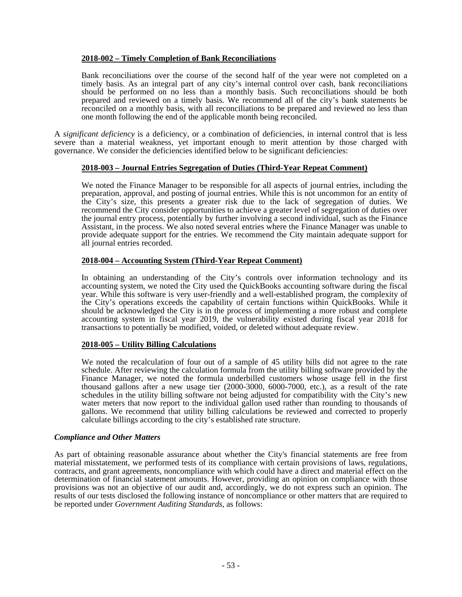# **2018-002 – Timely Completion of Bank Reconciliations**

Bank reconciliations over the course of the second half of the year were not completed on a timely basis. As an integral part of any city's internal control over cash, bank reconciliations should be performed on no less than a monthly basis. Such reconciliations should be both prepared and reviewed on a timely basis. We recommend all of the city's bank statements be reconciled on a monthly basis, with all reconciliations to be prepared and reviewed no less than one month following the end of the applicable month being reconciled.

A *significant deficiency* is a deficiency, or a combination of deficiencies, in internal control that is less severe than a material weakness, yet important enough to merit attention by those charged with governance. We consider the deficiencies identified below to be significant deficiencies:

# **2018-003 – Journal Entries Segregation of Duties (Third-Year Repeat Comment)**

We noted the Finance Manager to be responsible for all aspects of journal entries, including the preparation, approval, and posting of journal entries. While this is not uncommon for an entity of the City's size, this presents a greater risk due to the lack of segregation of duties. We recommend the City consider opportunities to achieve a greater level of segregation of duties over the journal entry process, potentially by further involving a second individual, such as the Finance Assistant, in the process. We also noted several entries where the Finance Manager was unable to provide adequate support for the entries. We recommend the City maintain adequate support for all journal entries recorded.

# **2018-004 – Accounting System (Third-Year Repeat Comment)**

In obtaining an understanding of the City's controls over information technology and its accounting system, we noted the City used the QuickBooks accounting software during the fiscal year. While this software is very user-friendly and a well-established program, the complexity of the City's operations exceeds the capability of certain functions within QuickBooks. While it should be acknowledged the City is in the process of implementing a more robust and complete accounting system in fiscal year 2019, the vulnerability existed during fiscal year 2018 for transactions to potentially be modified, voided, or deleted without adequate review.

# **2018-005 – Utility Billing Calculations**

We noted the recalculation of four out of a sample of 45 utility bills did not agree to the rate schedule. After reviewing the calculation formula from the utility billing software provided by the Finance Manager, we noted the formula underbilled customers whose usage fell in the first thousand gallons after a new usage tier (2000-3000, 6000-7000, etc.), as a result of the rate schedules in the utility billing software not being adjusted for compatibility with the City's new water meters that now report to the individual gallon used rather than rounding to thousands of gallons. We recommend that utility billing calculations be reviewed and corrected to properly calculate billings according to the city's established rate structure.

# *Compliance and Other Matters*

As part of obtaining reasonable assurance about whether the City's financial statements are free from material misstatement, we performed tests of its compliance with certain provisions of laws, regulations, contracts, and grant agreements, noncompliance with which could have a direct and material effect on the determination of financial statement amounts. However, providing an opinion on compliance with those provisions was not an objective of our audit and, accordingly, we do not express such an opinion. The results of our tests disclosed the following instance of noncompliance or other matters that are required to be reported under *Government Auditing Standards*, as follows: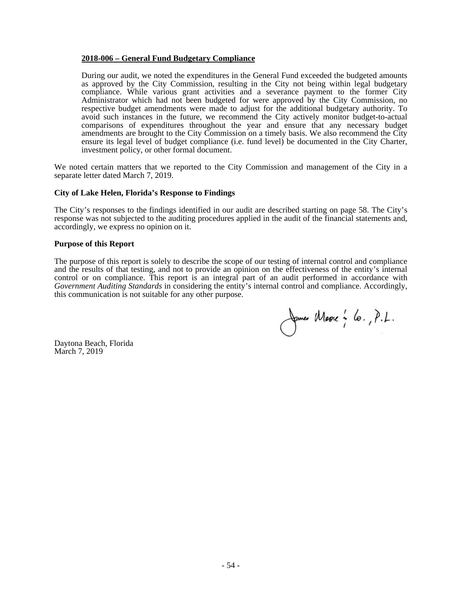## **2018-006 – General Fund Budgetary Compliance**

During our audit, we noted the expenditures in the General Fund exceeded the budgeted amounts as approved by the City Commission, resulting in the City not being within legal budgetary compliance. While various grant activities and a severance payment to the former City Administrator which had not been budgeted for were approved by the City Commission, no respective budget amendments were made to adjust for the additional budgetary authority. To avoid such instances in the future, we recommend the City actively monitor budget-to-actual comparisons of expenditures throughout the year and ensure that any necessary budget amendments are brought to the City Commission on a timely basis. We also recommend the City ensure its legal level of budget compliance (i.e. fund level) be documented in the City Charter, investment policy, or other formal document.

We noted certain matters that we reported to the City Commission and management of the City in a separate letter dated March 7, 2019.

## **City of Lake Helen, Florida's Response to Findings**

The City's responses to the findings identified in our audit are described starting on page 58. The City's response was not subjected to the auditing procedures applied in the audit of the financial statements and, accordingly, we express no opinion on it.

### **Purpose of this Report**

The purpose of this report is solely to describe the scope of our testing of internal control and compliance and the results of that testing, and not to provide an opinion on the effectiveness of the entity's internal control or on compliance. This report is an integral part of an audit performed in accordance with *Government Auditing Standards* in considering the entity's internal control and compliance. Accordingly, this communication is not suitable for any other purpose.

James Marre : lo., P.L.

Daytona Beach, Florida March 7, 2019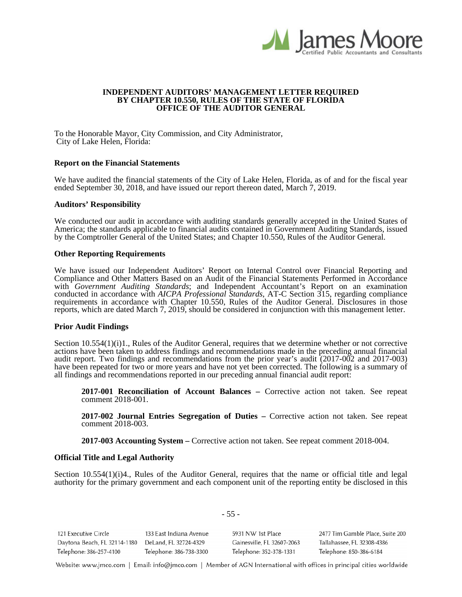

#### **INDEPENDENT AUDITORS' MANAGEMENT LETTER REQUIRED BY CHAPTER 10.550, RULES OF THE STATE OF FLORIDA OFFICE OF THE AUDITOR GENERAL**

To the Honorable Mayor, City Commission, and City Administrator, City of Lake Helen, Florida:

#### **Report on the Financial Statements**

We have audited the financial statements of the City of Lake Helen, Florida, as of and for the fiscal year ended September 30, 2018, and have issued our report thereon dated, March 7, 2019.

#### **Auditors' Responsibility**

We conducted our audit in accordance with auditing standards generally accepted in the United States of America; the standards applicable to financial audits contained in Government Auditing Standards, issued by the Comptroller General of the United States; and Chapter 10.550, Rules of the Auditor General.

#### **Other Reporting Requirements**

We have issued our Independent Auditors' Report on Internal Control over Financial Reporting and Compliance and Other Matters Based on an Audit of the Financial Statements Performed in Accordance with *Government Auditing Standards*; and Independent Accountant's Report on an examination conducted in accordance with *AICPA Professional Standards*, AT-C Section 315, regarding compliance requirements in accordance with Chapter 10.550, Rules of the Auditor General. Disclosures in those reports, which are dated March 7, 2019, should be considered in conjunction with this management letter.

#### **Prior Audit Findings**

Section 10.554(1)(i)1., Rules of the Auditor General, requires that we determine whether or not corrective actions have been taken to address findings and recommendations made in the preceding annual financial audit report. Two findings and recommendations from the prior year's audit (2017-002 and 2017-003) have been repeated for two or more years and have not yet been corrected. The following is a summary of all findings and recommendations reported in our preceding annual financial audit report:

**2017-001 Reconciliation of Account Balances –** Corrective action not taken. See repeat comment 2018-001.

**2017-002 Journal Entries Segregation of Duties –** Corrective action not taken. See repeat comment 2018-003.

**2017-003 Accounting System –** Corrective action not taken. See repeat comment 2018-004.

### **Official Title and Legal Authority**

Section 10.554(1)(i)4., Rules of the Auditor General, requires that the name or official title and legal authority for the primary government and each component unit of the reporting entity be disclosed in this

| 121 Executive Circle         | 133 East Indiana Avenue | 5931 NW 1st Place          | 2477 Tim Gamble Place, Suite 200 |
|------------------------------|-------------------------|----------------------------|----------------------------------|
| Daytona Beach, FL 32114-1180 | DeLand, FL 32724-4329   | Gainesville, FL 32607-2063 | Tallahassee, FL 32308-4386       |
| Telephone: 386-257-4100      | Telephone: 386-738-3300 | Telephone: 352-378-1331    | Telephone: 850-386-6184          |

- 55 -

Website: www.jmco.com | Email: info@jmco.com | Member of AGN International with offices in principal cities worldwide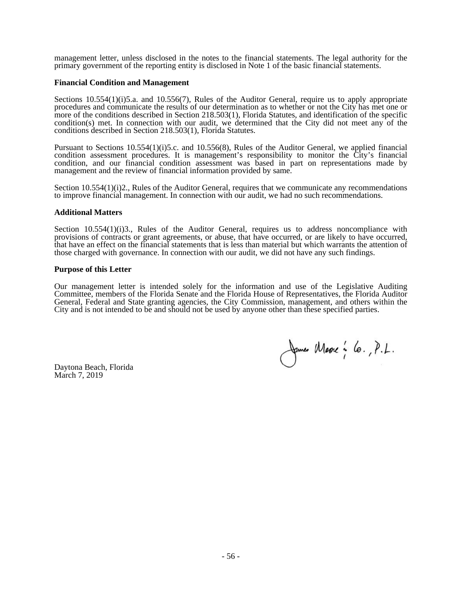management letter, unless disclosed in the notes to the financial statements. The legal authority for the primary government of the reporting entity is disclosed in Note 1 of the basic financial statements.

### **Financial Condition and Management**

Sections 10.554(1)(i)5.a. and 10.556(7), Rules of the Auditor General, require us to apply appropriate procedures and communicate the results of our determination as to whether or not the City has met one or more of the conditions described in Section 218.503(1), Florida Statutes, and identification of the specific condition(s) met. In connection with our audit, we determined that the City did not meet any of the conditions described in Section 218.503(1), Florida Statutes.

Pursuant to Sections 10.554(1)(i)5.c. and 10.556(8), Rules of the Auditor General, we applied financial condition assessment procedures. It is management's responsibility to monitor the City's financial condition, and our financial condition assessment was based in part on representations made by management and the review of financial information provided by same.

Section 10.554(1)(i)2., Rules of the Auditor General, requires that we communicate any recommendations to improve financial management. In connection with our audit, we had no such recommendations.

### **Additional Matters**

Section  $10.554(1)(i)3$ ., Rules of the Auditor General, requires us to address noncompliance with provisions of contracts or grant agreements, or abuse, that have occurred, or are likely to have occurred, that have an effect on the financial statements that is less than material but which warrants the attention of those charged with governance. In connection with our audit, we did not have any such findings.

### **Purpose of this Letter**

Our management letter is intended solely for the information and use of the Legislative Auditing Committee, members of the Florida Senate and the Florida House of Representatives, the Florida Auditor General, Federal and State granting agencies, the City Commission, management, and others within the City and is not intended to be and should not be used by anyone other than these specified parties.

Daytona Beach, Florida March 7, 2019

James Masse : 6., P.L.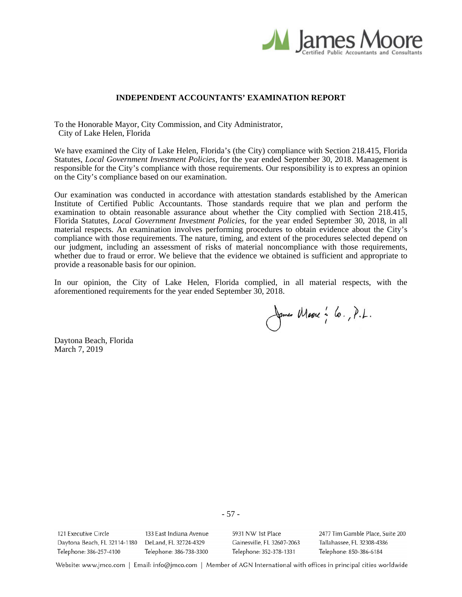

# **INDEPENDENT ACCOUNTANTS' EXAMINATION REPORT**

To the Honorable Mayor, City Commission, and City Administrator, City of Lake Helen, Florida

We have examined the City of Lake Helen, Florida's (the City) compliance with Section 218.415, Florida Statutes, *Local Government Investment Policies,* for the year ended September 30, 2018. Management is responsible for the City's compliance with those requirements. Our responsibility is to express an opinion on the City's compliance based on our examination.

Our examination was conducted in accordance with attestation standards established by the American Institute of Certified Public Accountants. Those standards require that we plan and perform the examination to obtain reasonable assurance about whether the City complied with Section 218.415, Florida Statutes, *Local Government Investment Policies,* for the year ended September 30, 2018, in all material respects. An examination involves performing procedures to obtain evidence about the City's compliance with those requirements. The nature, timing, and extent of the procedures selected depend on our judgment, including an assessment of risks of material noncompliance with those requirements, whether due to fraud or error. We believe that the evidence we obtained is sufficient and appropriate to provide a reasonable basis for our opinion.

In our opinion, the City of Lake Helen, Florida complied, in all material respects, with the aforementioned requirements for the year ended September 30, 2018.

James Masse : lo., P.L.

Daytona Beach, Florida March 7, 2019

121 Executive Circle 133 East Indiana Avenue Daytona Beach, FL 32114-1180 DeLand, FL 32724-4329 Telephone: 386-257-4100 Telephone: 386-738-3300

5931 NW 1st Place Gainesville, FL 32607-2063 Telephone: 352-378-1331

2477 Tim Gamble Place, Suite 200 Tallahassee, FL 32308-4386 Telephone: 850-386-6184

Website: www.jmco.com | Email: info@jmco.com | Member of AGN International with offices in principal cities worldwide